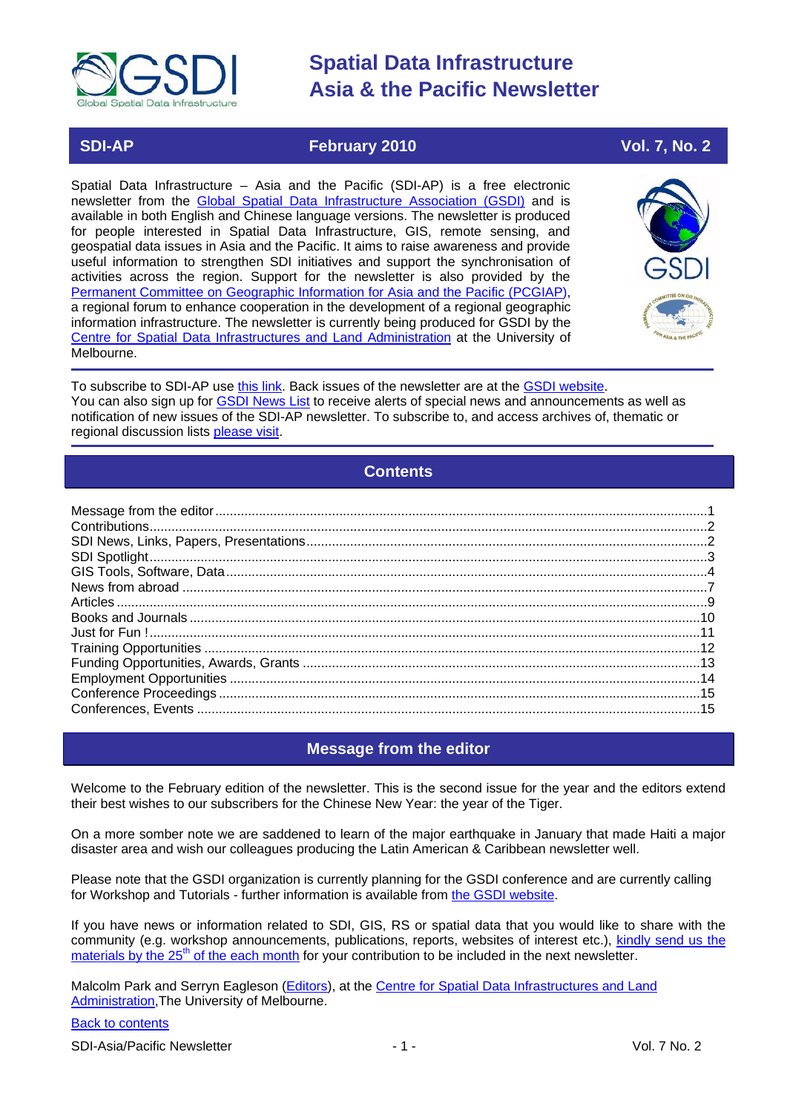

## **SDI-AP February 2010 Vol. 7, No. 2**

Spatial Data Infrastructure – Asia and the Pacific (SDI-AP) is a free electronic newsletter from the [Global Spatial Data Infrastructure Association \(GSDI\)](http://www.gsdi.org/) and is available in both English and Chinese language versions. The newsletter is produced for people interested in Spatial Data Infrastructure, GIS, remote sensing, and geospatial data issues in Asia and the Pacific. It aims to raise awareness and provide useful information to strengthen SDI initiatives and support the synchronisation of activities across the region. Support for the newsletter is also provided by the [Permanent Committee on Geographic Information for Asia and the Pacific \(PCGIAP\)](http://www.pcgiap.org/), a regional forum to enhance cooperation in the development of a regional geographic information infrastructure. The newsletter is currently being produced for GSDI by the Centre for Spatial Data [Infrastructures and Land Administration](http://www.csdila.unimelb.edu.au/) at the University of Melbourne.



To subscribe to SDI-AP use [this link.](http://www.gsdi.org/newslist/gsdisubscribe.asp) Back issues of the newsletter are at the [GSDI website.](http://www.gsdi.org/newsletters.asp) You can also sign up for [GSDI News List](http://www.gsdi.org/newslist/gsdisubscribe.asp) to receive alerts of special news and announcements as well as notification of new issues of the SDI-AP newsletter. To subscribe to, and access archives of, thematic or regional discussion lists [please visit.](http://www.gsdi.org/discussionlists.asp)

## **Contents**

<span id="page-0-0"></span>

## **Message from the editor**

<span id="page-0-1"></span>Welcome to the February edition of the newsletter. This is the second issue for the year and the editors extend their best wishes to our subscribers for the Chinese New Year: the year of the Tiger.

On a more somber note we are saddened to learn of the major earthquake in January that made Haiti a major disaster area and wish our colleagues producing the Latin American & Caribbean newsletter well.

Please note that the GSDI organization is currently planning for the GSDI conference and are currently calling for Workshop and Tutorials - further information is available from [the GSDI website.](http://www.gsdi.org/node/246)

If you have news or information related to SDI, GIS, RS or spatial data that you would like to share with the community (e.g. workshop announcements, publications, reports, websites of interest etc.), [kindly send us](mailto:sdi-ap@gsdi.org) the [materials by the 25](mailto:sdi-ap@gsdi.org)<sup>th</sup> of the each month for your contribution to be included in the next newsletter.

Malcolm Park and Serryn Eagleson [\(Editors\)](mailto:Editor.SDIAP@gmail.com), at the [Centre for Spatial Data Infrastructures and Land](http://www.csdila.unimelb.edu.au/)  [Administration,](http://www.csdila.unimelb.edu.au/)The University of Melbourne.

#### [Back to contents](#page-0-0)

SDI-Asia/Pacific Newsletter  $\overline{1}$  - 1 -  $\overline{2}$  - 1 -  $\overline{2}$  Vol. 7 No. 2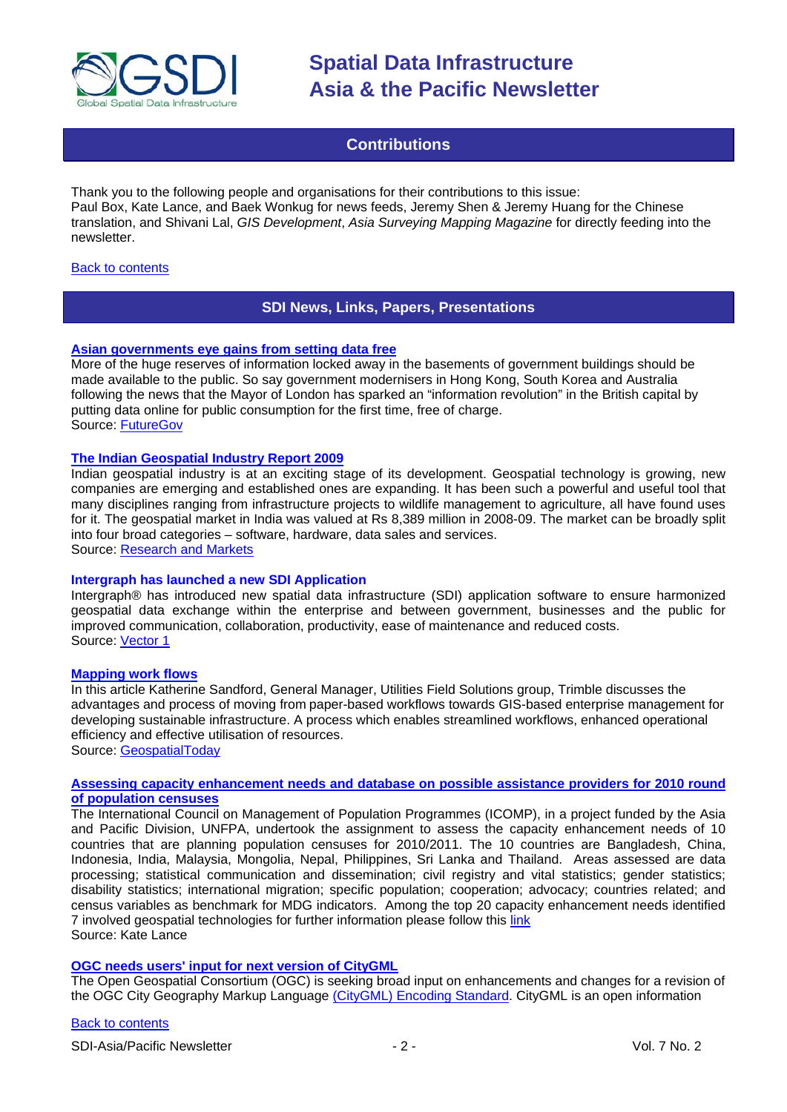

## **Contributions**

<span id="page-1-0"></span>Thank you to the following people and organisations for their contributions to this issue: Paul Box, Kate Lance, and Baek Wonkug for news feeds, Jeremy Shen & Jeremy Huang for the Chinese translation, and Shivani Lal, *GIS Development*, *Asia Surveying Mapping Magazine* for directly feeding into the newsletter.

#### <span id="page-1-1"></span>[Back to contents](#page-0-0)

#### **SDI News, Links, Papers, Presentations**

#### **[Asian governments eye gains from setting data free](http://www.futuregov.net/articles/2010/jan/13/govts-eye-gains-setting-data-free/)**

More of the huge reserves of information locked away in the basements of government buildings should be made available to the public. So say government modernisers in Hong Kong, South Korea and Australia following the news that the Mayor of London has sparked an "information revolution" in the British capital by putting data online for public consumption for the first time, free of charge. Source: [FutureGov](http://www.futuregov.net/articles/2010/jan/13/govts-eye-gains-setting-data-free/)

#### **[The Indian Geospatial Industry Report 2009](http://www.researchandmarkets.com/reports/1195527/the_indian_geospatial_industry_report_2009.htm)**

Indian geospatial industry is at an exciting stage of its development. Geospatial technology is growing, new companies are emerging and established ones are expanding. It has been such a powerful and useful tool that many disciplines ranging from infrastructure projects to wildlife management to agriculture, all have found uses for it. The geospatial market in India was valued at Rs 8,389 million in 2008-09. The market can be broadly split into four broad categories – software, hardware, data sales and services. Source: [Research and Markets](http://www.researchandmarkets.com/reports/1195527/the_indian_geospatial_industry_report_2009.htm)

#### **Intergraph has launched a new SDI Application**

Intergraph® has introduced new spatial data infrastructure (SDI) application software to ensure harmonized geospatial data exchange within the enterprise and between government, businesses and the public for improved communication, collaboration, productivity, ease of maintenance and reduced costs. Source: [Vector 1](http://vector1media.com/news/top-stories/53-corporate-news/7754-intergraph-launches-new-spatial-data-infrastructure-sdi-application)

#### **[Mapping work flows](http://geospatialtoday.com/gst/index.php?option=com_content&view=article&id=448)**

In this article Katherine Sandford, General Manager, Utilities Field Solutions group, Trimble discusses the advantages and process of moving from paper-based workflows towards GIS-based enterprise management for developing sustainable infrastructure. A process which enables streamlined workflows, enhanced operational efficiency and effective utilisation of resources.

Source: [GeospatialToday](http://geospatialtoday.com/gst/index.php?option=com_content&view=article&id=448)

#### **[Assessing capacity enhancement needs and database on possible assistance providers for 2010 round](http://www.icomp.org.my/Census2010/Census2010.htm)  [of population censuses](http://www.icomp.org.my/Census2010/Census2010.htm)**

The International Council on Management of Population Programmes (ICOMP), in a project funded by the Asia and Pacific Division, UNFPA, undertook the assignment to assess the capacity enhancement needs of 10 countries that are planning population censuses for 2010/2011. The 10 countries are Bangladesh, China, Indonesia, India, Malaysia, Mongolia, Nepal, Philippines, Sri Lanka and Thailand. Areas assessed are data processing; statistical communication and dissemination; civil registry and vital statistics; gender statistics; disability statistics; international migration; specific population; cooperation; advocacy; countries related; and census variables as benchmark for MDG indicators. Among the top 20 capacity enhancement needs identified 7 involved geospatial technologies for further information please follow this [link](http://www.icomp.org.my/Census2010/Census2010.htm) Source: Kate Lance

#### **[OGC needs users' input for next version of CityGML](http://www.opengeospatial.org/pressroom/pressreleases/1113)**

The Open Geospatial Consortium (OGC) is seeking broad input on enhancements and changes for a revision of the OGC City Geography Markup Languag[e \(CityGML\) Encoding Standard.](http://www.opengeospatial.org/standards/citygml) CityGML is an open information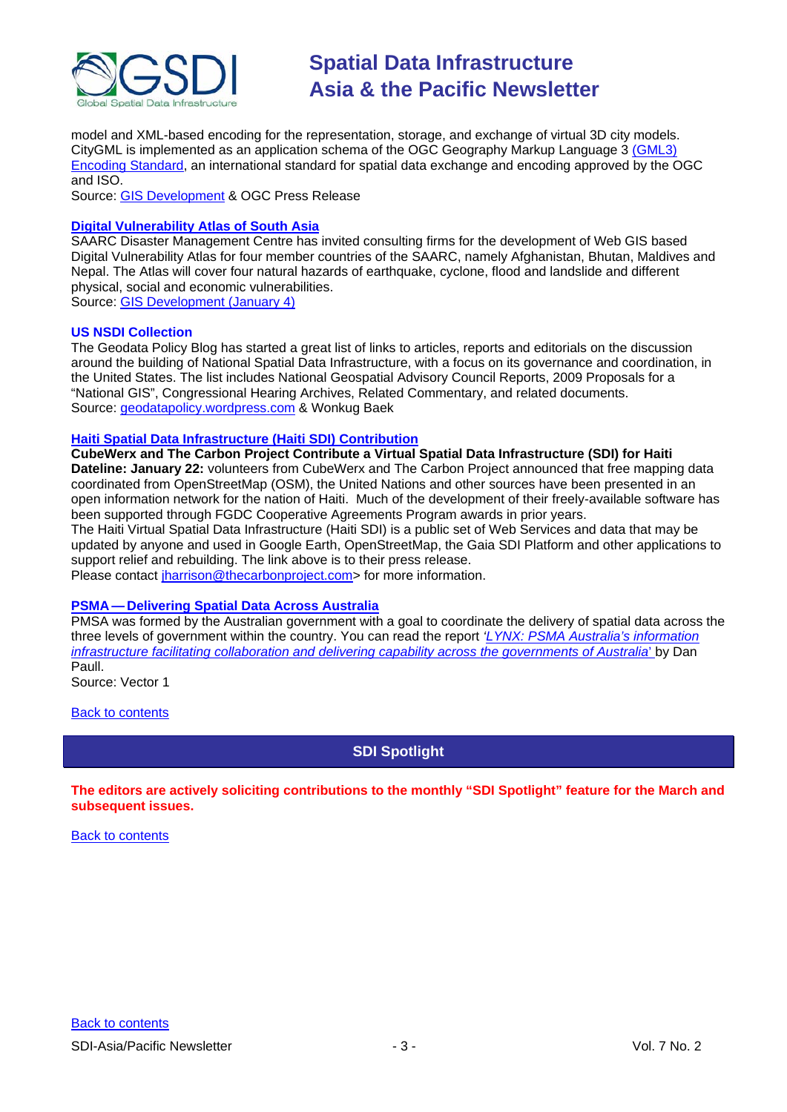

model and XML-based encoding for the representation, storage, and exchange of virtual 3D city models. CityGML is implemented as an application schema of the OGC Geography Markup Language 3 [\(GML3\)](http://www.opengeospatial.org/standards/gml)  [Encoding Standard,](http://www.opengeospatial.org/standards/gml) an international standard for spatial data exchange and encoding approved by the OGC and ISO.

Source: [GIS Development](http://www.gisdevelopment.net/news/viewn.asp?id=GIS:N_dyrwigckea&Ezine=jan1110§ion=News) & OGC Press Release

#### **[Digital Vulnerability Atlas of South Asia](http://saarc-sdmc.nic.in/tenders.asp)**

SAARC Disaster Management Centre has invited consulting firms for the development of Web GIS based Digital Vulnerability Atlas for four member countries of the SAARC, namely Afghanistan, Bhutan, Maldives and Nepal. The Atlas will cover four natural hazards of earthquake, cyclone, flood and landslide and different physical, social and economic vulnerabilities.

Source: [GIS Development \(January 4\)](http://www.gisdevelopment.net/ezine/weekly/jan0410.htm)

#### **US NSDI Collection**

The Geodata Policy Blog has started a great list of links to articles, reports and editorials on the discussion around the building of National Spatial Data Infrastructure, with a focus on its governance and coordination, in the United States. The list includes National Geospatial Advisory Council Reports, 2009 Proposals for a "National GIS", Congressional Hearing Archives, Related Commentary, and related documents. Source: [geodatapolicy.wordpress.com](http://geodatapolicy.wordpress.com/) & Wonkug Baek

#### **[Haiti Spatial Data Infrastructure \(Haiti SDI\) Contribution](http://carboncloud.blogspot.com/)**

**CubeWerx and The Carbon Project Contribute a Virtual Spatial Data Infrastructure (SDI) for Haiti Dateline: January 22:** volunteers from CubeWerx and The Carbon Project announced that free mapping data coordinated from OpenStreetMap (OSM), the United Nations and other sources have been presented in an open information network for the nation of Haiti. Much of the development of their freely-available software has been supported through FGDC Cooperative Agreements Program awards in prior years.

The Haiti Virtual Spatial Data Infrastructure (Haiti SDI) is a public set of Web Services and data that may be updated by anyone and used in Google Earth, OpenStreetMap, the Gaia SDI Platform and other applications to support relief and rebuilding. The link above is to their press release.

Please contact [jharrison@thecarbonproject.com>](mailto:jharrison@thecarbonproject.com) for more information.

#### **PSMA — [Delivering Spatial Data Across Australia](http://www.vector1media.com/vectorone/?p=4588)**

PMSA was formed by the Australian government with a goal to coordinate the delivery of spatial data across the three levels of government within the country. You can read the report *['LYNX: PSMA Australia's information](http://www.psma.com.au/aboutpsma/documents/DanPaull-GSDI11Paper.pdf)  [infrastructure facilitating collaboration and delivering capability across the governments of Australia](http://www.psma.com.au/aboutpsma/documents/DanPaull-GSDI11Paper.pdf)*[' b](http://www.psma.com.au/aboutpsma/documents/DanPaull-GSDI11Paper.pdf)y Dan Paull.

Source: Vector 1

<span id="page-2-0"></span>**[Back to contents](#page-0-0)** 

**SDI Spotlight** 

**The editors are actively soliciting contributions to the monthly "SDI Spotlight" feature for the March and subsequent issues.**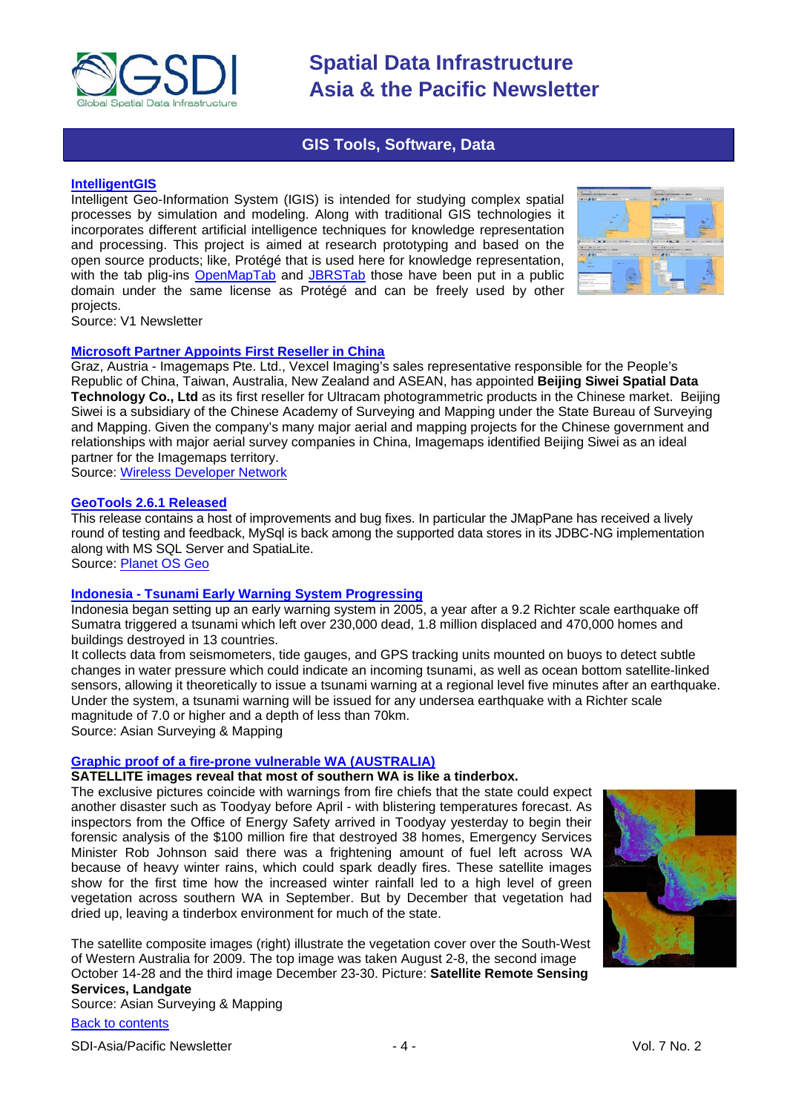

### **GIS Tools, Software, Data**

#### <span id="page-3-0"></span>**[IntelligentGIS](http://protege.cim3.net/cgi-bin/wiki.pl?IntelligentGIS)**

Intelligent Geo-Information System (IGIS) is intended for studying complex spatial processes by simulation and modeling. Along with traditional GIS technologies it incorporates different artificial intelligence techniques for knowledge representation and processing. This project is aimed at research prototyping and based on the open source products; like, Protégé that is used here for knowledge representation, with the tab plig-ins [OpenMapTab](http://www.oogis.ru/en/projects/OpenMapTab/openmap_tab.htm) and [JBRSTab](http://oogis.ru/content/view/129/123/lang,en/) those have been put in a public domain under the same license as Protégé and can be freely used by other projects.



Source: V1 Newsletter

### **[Microsoft Partner Appoints First Reseller in China](http://www.wirelessdevnet.com/news/2010/jan/29/news3.html)**

Graz, Austria - Imagemaps Pte. Ltd., Vexcel Imaging's sales representative responsible for the People's Republic of China, Taiwan, Australia, New Zealand and ASEAN, has appointed **Beijing Siwei Spatial Data Technology Co., Ltd** as its first reseller for Ultracam photogrammetric products in the Chinese market. Beijing Siwei is a subsidiary of the Chinese Academy of Surveying and Mapping under the State Bureau of Surveying and Mapping. Given the company's many major aerial and mapping projects for the Chinese government and relationships with major aerial survey companies in China, Imagemaps identified Beijing Siwei as an ideal partner for the Imagemaps territory.

Source: [Wireless Developer Network](http://www.wirelessdevnet.com/news/2010/jan/29/news3.html)

#### **[GeoTools 2.6.1 Released](http://geotoolsnews.blogspot.com/2010/01/geotools-261-released.html)**

This release contains a host of improvements and bug fixes. In particular the JMapPane has received a lively round of testing and feedback, MySql is back among the supported data stores in its JDBC-NG implementation along with MS SQL Server and SpatiaLite.

Source: [Planet OS Geo](http://planet.osgeo.org/)

#### **Indonesia - [Tsunami Early Warning System](http://asmmag.com/features/indonesia-tsunami-early-warning-system-progressing-) Progressing**

Indonesia began setting up an early warning system in 2005, a year after a 9.2 Richter scale earthquake off Sumatra triggered a tsunami which left over 230,000 dead, 1.8 million displaced and 470,000 homes and buildings destroyed in 13 countries.

It collects data from seismometers, tide gauges, and GPS tracking units mounted on buoys to detect subtle changes in water pressure which could indicate an incoming tsunami, as well as ocean bottom satellite-linked sensors, allowing it theoretically to issue a tsunami warning at a regional level five minutes after an earthquake. Under the system, a tsunami warning will be issued for any undersea earthquake with a Richter scale magnitude of 7.0 or higher and a depth of less than 70km. Source: Asian Surveying & Mapping

#### **[Graphic proof of a fire-prone vulnerable WA \(AUSTRALIA\)](http://asmmag.com/news/satellite-imagery-shows-fire-prone-vulnerable-wa-)**

### **SATELLITE images reveal that most of southern WA is like a tinderbox.**

The exclusive pictures coincide with warnings from fire chiefs that the state could expect another disaster such as Toodyay before April - with blistering temperatures forecast. As inspectors from the Office of Energy Safety arrived in Toodyay yesterday to begin their forensic analysis of the \$100 million fire that destroyed 38 homes, Emergency Services Minister Rob Johnson said there was a frightening amount of fuel left across WA because of heavy winter rains, which could spark deadly fires. These satellite images show for the first time how the increased winter rainfall led to a high level of green vegetation across southern WA in September. But by December that vegetation had dried up, leaving a tinderbox environment for much of the state.



The satellite composite images (right) illustrate the vegetation cover over the South-West of Western Australia for 2009. The top image was taken August 2-8, the second image October 14-28 and the third image December 23-30. Picture: **Satellite Remote Sensing** 

### **Services, Landgate**

Source: Asian Surveying & Mapping

#### [Back to contents](#page-0-0)

SDI-Asia/Pacific Newsletter  $\overline{a}$  - 4 -  $\overline{a}$  - Vol. 7 No. 2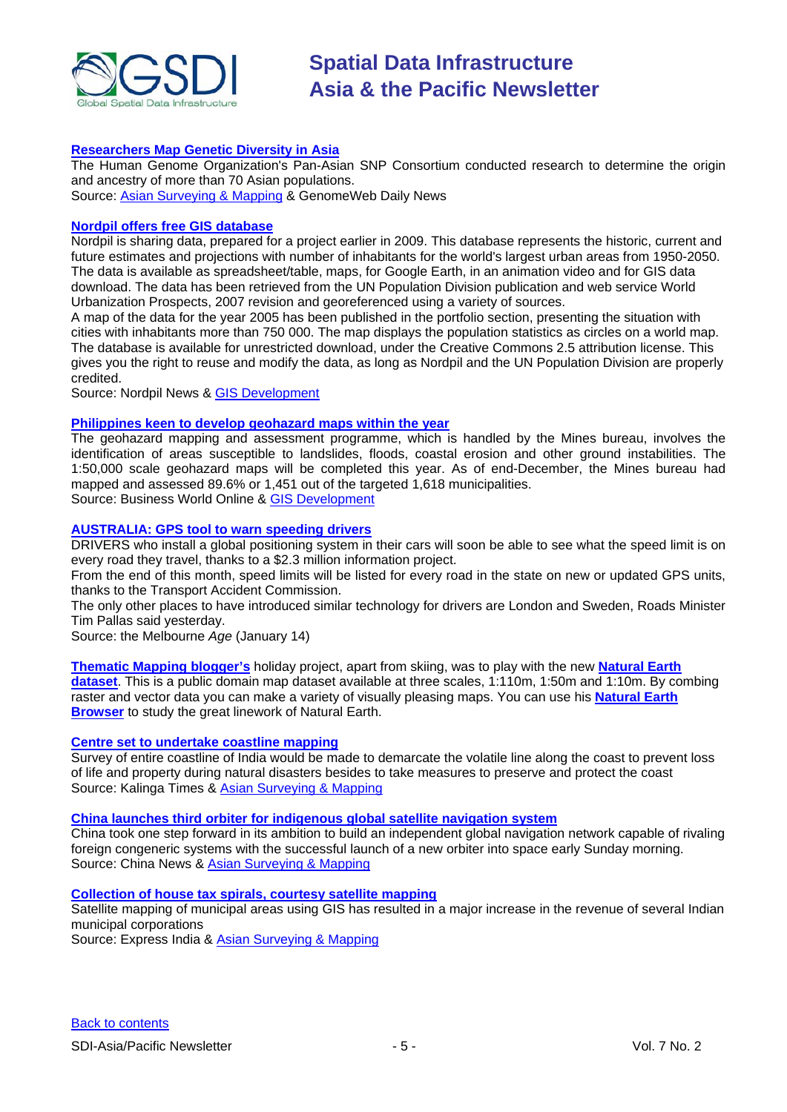

#### **[Researchers Map Genetic Diversity in Asia](http://www.genomeweb.com/arrays/hugo-pan-asian-snp-consortium-maps-genetic-diversity-asia)**

The Human Genome Organization's Pan-Asian SNP Consortium conducted research to determine the origin and ancestry of more than 70 Asian populations. Source: [Asian Surveying & Mapping](http://asmmag.com/news/researchers-map-genetic-diversity-in-asia) & GenomeWeb Daily News

#### **[Nordpil offers free GIS database](http://nordpil.com/go/news/resources-world-database-of-urban-areas-1950-2050/)**

Nordpil is sharing data, prepared for a project earlier in 2009. This database represents the historic, current and future estimates and projections with number of inhabitants for the world's largest urban areas from 1950-2050. The data is available as spreadsheet/table, maps, for Google Earth, in an animation video and for GIS data download. The data has been retrieved from the UN Population Division publication and web service World Urbanization Prospects, 2007 revision and georeferenced using a variety of sources.

A map of the data for the year 2005 has been published in the portfolio section, presenting the situation with cities with inhabitants more than 750 000. The map displays the population statistics as circles on a world map. The database is available for unrestricted download, under the Creative Commons 2.5 attribution license. This gives you the right to reuse and modify the data, as long as Nordpil and the UN Population Division are properly credited.

Source: Nordpil News & [GIS Development](http://www.gisdevelopment.net/news/viewn.asp?id=GIS:N_vxikyrjhdg&Ezine=jan1110§ion=News)

### **[Philippines keen to develop geohazard maps within the year](http://www.bworldonline.com/main/content.php?id=3996)**

The geohazard mapping and assessment programme, which is handled by the Mines bureau, involves the identification of areas susceptible to landslides, floods, coastal erosion and other ground instabilities. The 1:50,000 scale geohazard maps will be completed this year. As of end-December, the Mines bureau had mapped and assessed 89.6% or 1,451 out of the targeted 1,618 municipalities. Source: Business World Online & [GIS Development](http://www.gisdevelopment.net/news/viewn.asp?id=GIS:N_jiurcezwpt&Ezine=jan1110§ion=News)

#### **[AUSTRALIA: GPS tool to warn speeding drivers](http://www.theage.com.au/national/gps-tool-to-warn-speeding-drivers-20100113-m6zg.html)**

DRIVERS who install a global positioning system in their cars will soon be able to see what the speed limit is on every road they travel, thanks to a \$2.3 million information project.

From the end of this month, speed limits will be listed for every road in the state on new or updated GPS units, thanks to the Transport Accident Commission.

The only other places to have introduced similar technology for drivers are London and Sweden, Roads Minister Tim Pallas said yesterday.

Source: the Melbourne *Age* (January 14)

**[Thematic Mapping blogger's](http://blog.thematicmapping.org/)** holiday project, apart from skiing, was to play with the new **[Natural Earth](http://www.naturalearthdata.com/)  [dataset](http://www.naturalearthdata.com/)**. This is a public domain map dataset available at three scales, 1:110m, 1:50m and 1:10m. By combing raster and vector data you can make a variety of visually pleasing maps. You can use his **[Natural Earth](http://earthatlas.info/naturalearth)  [Browser](http://earthatlas.info/naturalearth)** to study the great linework of Natural Earth.

#### **[Centre set to undertake coastline mapping](http://www.kalingatimes.com/odisha_news/news2010/20100116_Centre_set_to_undertake_coastline_mapping.htm)**

Survey of entire coastline of India would be made to demarcate the volatile line along the coast to prevent loss of life and property during natural disasters besides to take measures to preserve and protect the coast Source: Kalinga Times & [Asian Surveying & Mapping](http://asmmag.com/news/india-begins-outreach-regarding-the-survey-of-the-country-s-coastline)

#### **[China launches third orbiter for indigenous global satellite navigation system](http://news.xinhuanet.com/english/2010-01/17/content_12822615.htm)**

China took one step forward in its ambition to build an independent global navigation network capable of rivaling foreign congeneric systems with the successful launch of a new orbiter into space early Sunday morning. Source: China News & [Asian Surveying & Mapping](http://asmmag.com/news/china-launches-orbiter-for-navigation-system)

#### **[Collection of house tax spirals, courtesy satellite mapping](http://www.expressindia.com/latest-news/collection-of-house-tax-spirals-courtesy-satellite-mapping/567684/)**

Satellite mapping of municipal areas using GIS has resulted in a major increase in the revenue of several Indian municipal corporations

Source: Express India & [Asian Surveying & Mapping](http://asmmag.com/news/tax-collections-rise-with-satellite-mapping)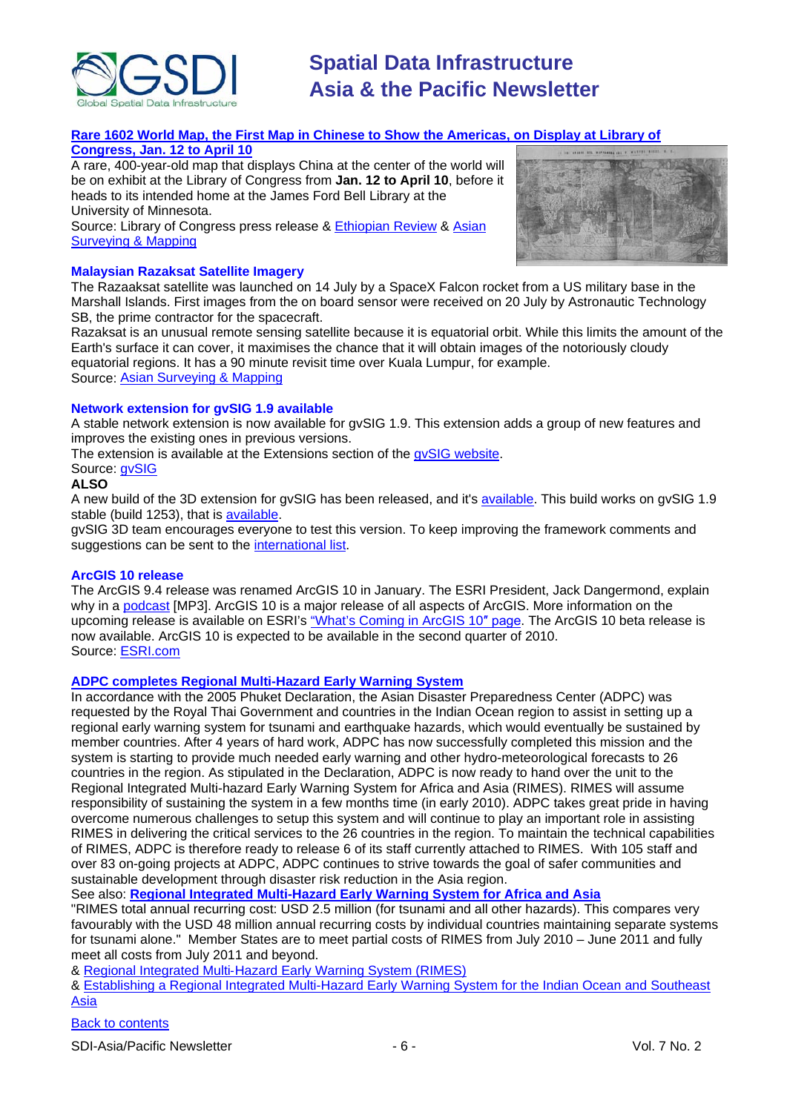

### **[Rare 1602 World Map, the First Map in Chinese to Show the Americas, on Display at Library of](http://www.loc.gov/today/pr/2010/10-002.html)**

#### **[Congress, Jan. 12 to April 10](http://www.loc.gov/today/pr/2010/10-002.html)**

A rare, 400-year-old map that displays China at the center of the world will be on exhibit at the Library of Congress from **Jan. 12 to April 10**, before it heads to its intended home at the James Ford Bell Library at the University of Minnesota.

Source: Library of Congress press release & [Ethiopian Review](http://www.ethiopianreview.com/news/11951) & [Asian](http://asmmag.com/news/ancient-map-china-at-centre)  [Surveying & Mapping](http://asmmag.com/news/ancient-map-china-at-centre)



#### **Malaysian Razaksat Satellite Imagery**

The Razaaksat satellite was launched on 14 July by a SpaceX Falcon rocket from a US military base in the Marshall Islands. First images from the on board sensor were received on 20 July by Astronautic Technology SB, the prime contractor for the spacecraft.

Razaksat is an unusual remote sensing satellite because it is equatorial orbit. While this limits the amount of the Earth's surface it can cover, it maximises the chance that it will obtain images of the notoriously cloudy equatorial regions. It has a 90 minute revisit time over Kuala Lumpur, for example. Source: [Asian Surveying & Mapping](http://asmmag.com/features/razaksat-imagery)

#### **Network extension for gvSIG 1.9 available**

A stable network extension is now available for gvSIG 1.9. This extension adds a group of new features and improves the existing ones in previous versions.

The extension is available at the Extensions section of the [gvSIG website.](http://www.gvsig.gva.es/eng/gvsig-desktop/desk-extensiones/network-extension/downloads/)

Source: avSIG

### **ALSO**

A new build of the 3D extension for gvSIG has been released, and it's [available.](https://gvsig.org/web/projects/gvsig-desktop/devel) This build works on gvSIG 1.9 stable (build 1253), that is [available.](https://gvsig.org/web/projects/gvsig-desktop/devel/gvsig)

gvSIG 3D team encourages everyone to test this version. To keep improving the framework comments and suggestions can be sent to the [international list.](http://www.gvsig.org/web/community/mailing-lists/directory-en/)

#### **ArcGIS 10 release**

The ArcGIS 9.4 release was renamed ArcGIS 10 in January. The ESRI President, Jack Dangermond, explain why in a [podcast](http://www.esri.com/news/podcasts/audio/speaker/dangermond_arcgis10.mp3) [MP3]. ArcGIS 10 is a major release of all aspects of ArcGIS. More information on the upcoming release is available on ESRI's ["What's Coming in ArcGIS 10](http://www.esri.com/software/arcgis/whats-new/whats-coming.html)″ page. The ArcGIS 10 beta release is now available. ArcGIS 10 is expected to be available in the second quarter of 2010. Source: [ESRI.com](http://www.esri.com/index.html)

#### **[ADPC completes Regional Multi-Hazard Early Warning System](http://www.adpc.net/v2007/announcement/2010/RIMES/RIMES.asp)**

In accordance with the 2005 Phuket Declaration, the Asian Disaster Preparedness Center (ADPC) was requested by the Royal Thai Government and countries in the Indian Ocean region to assist in setting up a regional early warning system for tsunami and earthquake hazards, which would eventually be sustained by member countries. After 4 years of hard work, ADPC has now successfully completed this mission and the system is starting to provide much needed early warning and other hydro-meteorological forecasts to 26 countries in the region. As stipulated in the Declaration, ADPC is now ready to hand over the unit to the Regional Integrated Multi-hazard Early Warning System for Africa and Asia (RIMES). RIMES will assume responsibility of sustaining the system in a few months time (in early 2010). ADPC takes great pride in having overcome numerous challenges to setup this system and will continue to play an important role in assisting RIMES in delivering the critical services to the 26 countries in the region. To maintain the technical capabilities of RIMES, ADPC is therefore ready to release 6 of its staff currently attached to RIMES. With 105 staff and over 83 on-going projects at ADPC, ADPC continues to strive towards the goal of safer communities and sustainable development through disaster risk reduction in the Asia region.

See also: **[Regional Integrated Multi-Hazard Early Warning System for Africa and Asia](http://www.unescap.org/pmd/tsunami/documents/isdr-escap-mtg/11%20Mr%20Abdul%20Muhsin%20Ramiz%20-%20RIMES.ppt)**

"RIMES total annual recurring cost: USD 2.5 million (for tsunami and all other hazards). This compares very favourably with the USD 48 million annual recurring costs by individual countries maintaining separate systems for tsunami alone." Member States are to meet partial costs of RIMES from July 2010 – June 2011 and fully meet all costs from July 2011 and beyond.

& Regional Integrated Multi‐[Hazard Early Warning System \(RIMES\)](http://ioc-unesco.org/components/com_oe/oe.php?task=download&id=6433&version=1.0&lang=1&format=1)

& [Establishing a Regional Integrated Multi-Hazard Early Warning System for the Indian Ocean and Southeast](http://ioc-unesco.org/components/com_oe/oe.php?task=download&id=7501&version=1.0&lang=1&format=1)  [Asia](http://ioc-unesco.org/components/com_oe/oe.php?task=download&id=7501&version=1.0&lang=1&format=1)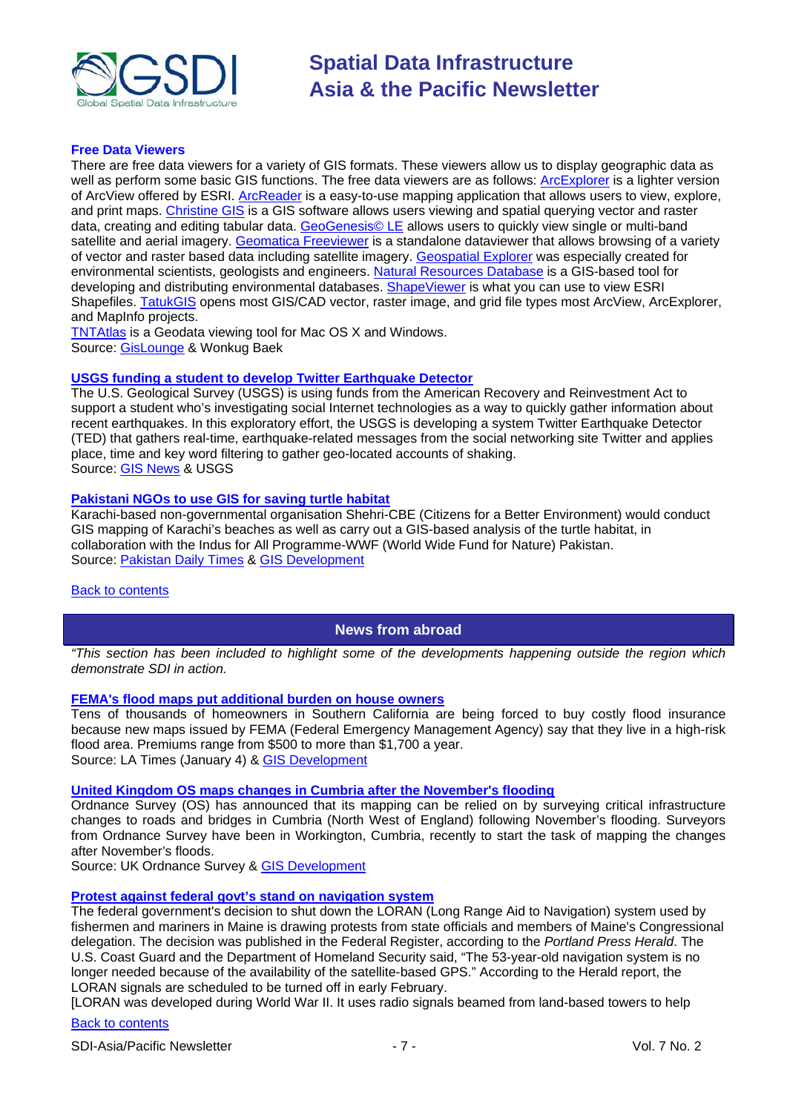

#### **Free Data Viewers**

There are free data viewers for a variety of GIS formats. These viewers allow us to display geographic data as well as perform some basic GIS functions. The free data viewers are as follows: [ArcExplorer](http://www.esri.com/software/explorer/index.html) is a lighter version of ArcView offered by ESRI. [ArcReader](http://www.esri.com/software/arcgis/arcreader/index.html) is a easy-to-use mapping application that allows users to view, explore, and print maps. [Christine GIS](http://www.christine-gis.com/en/index.htm) is a GIS software allows users viewing and spatial querying vector and raster data, creating and editing tabular data. [GeoGenesis© LE](http://geogenesis.net/geogenesisle.htm) allows users to quickly view single or multi-band satellite and aerial imagery. [Geomatica Freeviewer](http://www.pcigeomatics.com/index.php?option=com_content&view=article&id=91&Itemid=12) is a standalone dataviewer that allows browsing of a variety of vector and raster based data including satellite imagery. [Geospatial Explorer](http://www.cyze.com/download/) was especially created for environmental scientists, geologists and engineers. [Natural Resources Database](http://www.nrdb.co.uk/) is a GIS-based tool for developing and distributing environmental databases. [ShapeViewer](http://www.qarah.com/shapeviewer/) is what you can use to view ESRI Shapefiles. [TatukGIS](http://www.tatukgis.com/products/viewer/viewer.aspx) opens most GIS/CAD vector, raster image, and grid file types most ArcView, ArcExplorer, and MapInfo projects.

[TNTAtlas](http://www.microimages.com/products/tntatlas/index.htm) is a Geodata viewing tool for Mac OS X and Windows. Source: [GisLounge](http://gislounge.com/free-data-viewers/) & Wonkug Baek

#### **[USGS funding a student to develop Twitter Earthquake](http://recovery.doi.gov/press/us-geological-survey-twitter-earthquake-detector-ted/) Detector**

The U.S. Geological Survey (USGS) is using funds from the American Recovery and Reinvestment Act to support a student who's investigating social Internet technologies as a way to quickly gather information about recent earthquakes. In this exploratory effort, the USGS is developing a system Twitter Earthquake Detector (TED) that gathers real-time, earthquake-related messages from the social networking site Twitter and applies place, time and key word filtering to gather geo-located accounts of shaking. Source: [GIS News](http://www.gisdevelopment.net/news/viewn.asp?id=GIS:N_qysrdoeixj&Ezine=jan1810§ion%20=News) & USGS

#### **[Pakistani NGOs to use GIS for saving turtle habitat](http://www.dailytimes.com.pk/default.asp?page=2010\01\11\story_11-1-2010_pg12_3)**

Karachi-based non-governmental organisation Shehri-CBE (Citizens for a Better Environment) would conduct GIS mapping of Karachi's beaches as well as carry out a GIS-based analysis of the turtle habitat, in collaboration with the Indus for All Programme-WWF (World Wide Fund for Nature) Pakistan. Source: [Pakistan Daily Times](http://www.dailytimes.com.pk/) & [GIS Development](http://www.gisdevelopment.net/news/viewn.asp?id=GIS:N_hgzmrbafki&Ezine=jan1810§ion=News)

#### <span id="page-6-0"></span>[Back to contents](#page-0-0)

#### **News from abroad**

*"This section has been included to highlight some of the developments happening outside the region which demonstrate SDI in action.*

#### **[FEMA's flood maps put additional burden on house owners](http://www.latimes.com/news/local/la-me-flood-maps4-2010jan04,0,6016681.story)**

Tens of thousands of homeowners in Southern California are being forced to buy costly flood insurance because new maps issued by FEMA (Federal Emergency Management Agency) say that they live in a high-risk flood area. Premiums range from \$500 to more than \$1,700 a year. Source: LA Times (January 4) & [GIS Development](http://www.gisdevelopment.net/news/viewn.asp?id=GIS:N_ztxieqmhsl&Ezine=jan1110§ion=News)

#### **[United Kingdom OS maps changes in Cumbria after the November's flooding](http://www.ordnancesurvey.co.uk/oswebsite/media/news/2010/jan/cumbria.html)**

Ordnance Survey (OS) has announced that its mapping can be relied on by surveying critical infrastructure changes to roads and bridges in Cumbria (North West of England) following November's flooding. Surveyors from Ordnance Survey have been in Workington, Cumbria, recently to start the task of mapping the changes after November's floods.

Source: UK Ordnance Survey & [GIS Development](http://www.gisdevelopment.net/news/viewn.asp?id=GIS:N_nocxugsfdi&Ezine=jan1110§ion=News)

#### **[Protest against federal govt's stand on navigation system](http://www.mpbn.net/Home/tabid/36/ctl/ViewItem/mid/3483/ItemId/10491/Default.aspx)**

The federal government's decision to shut down the LORAN (Long Range Aid to Navigation) system used by fishermen and mariners in Maine is drawing protests from state officials and members of Maine's Congressional delegation. The decision was published in the Federal Register, according to the *Portland Press Herald*. The U.S. Coast Guard and the Department of Homeland Security said, "The 53-year-old navigation system is no longer needed because of the availability of the satellite-based GPS." According to the Herald report, the LORAN signals are scheduled to be turned off in early February.

[LORAN was developed during World War II. It uses radio signals beamed from land-based towers to help

#### [Back to contents](#page-0-0)

SDI-Asia/Pacific Newsletter  $\overline{7}$  - 7 -  $\overline{7}$  -  $\overline{7}$  -  $\overline{9}$  Vol. 7 No. 2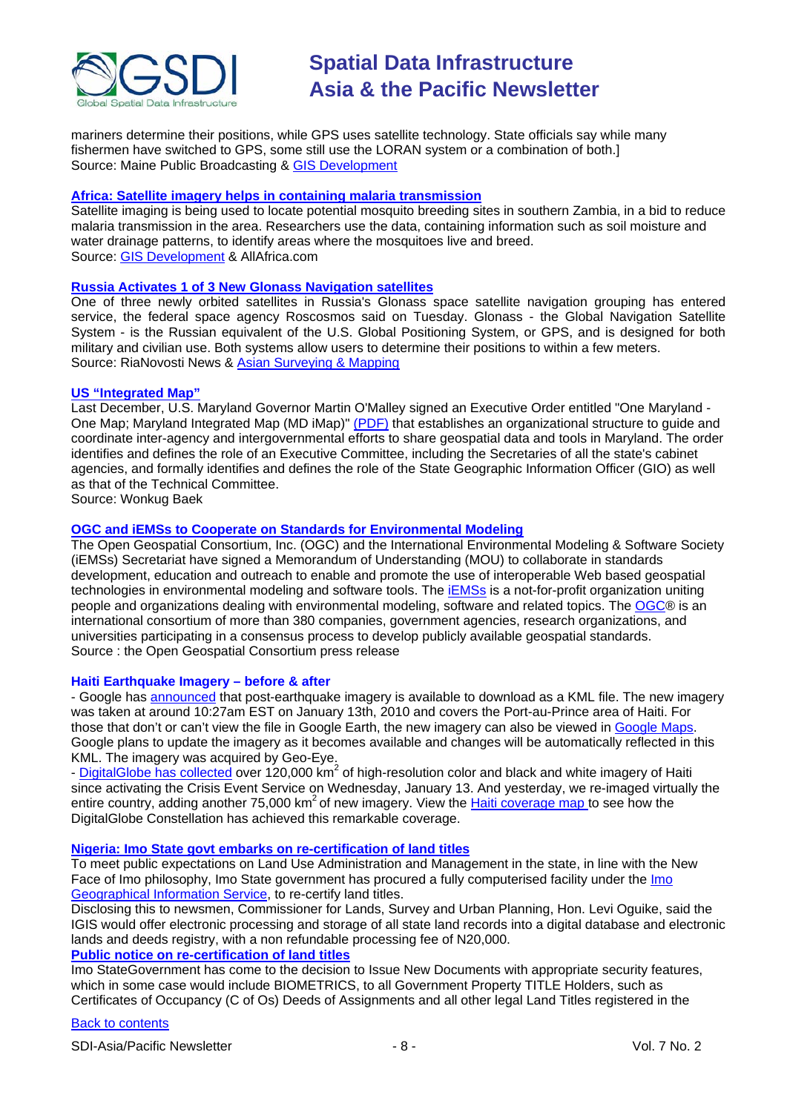

mariners determine their positions, while GPS uses satellite technology. State officials say while many fishermen have switched to GPS, some still use the LORAN system or a combination of both.] Source: Maine Public Broadcasting [& GIS Development](http://www.gisdevelopment.net/news/viewn.asp?id=GIS:N_jfnrpoqchy&Ezine=jan1110§ion=News)

#### **[Africa: Satellite imagery helps in containing malaria transmission](http://allafrica.com/stories/200911300784.html)**

Satellite imaging is being used to locate potential mosquito breeding sites in southern Zambia, in a bid to reduce malaria transmission in the area. Researchers use the data, containing information such as soil moisture and water drainage patterns, to identify areas where the mosquitoes live and breed. Source: [GIS Development](http://www.gisdevelopment.net/news/viewn.asp?id=GIS:N_xoejmflart&Ezine=dec2809§ion=News) & AllAfrica.com

#### **[Russia Activates 1 of 3 New Glonass Navigation](http://en.rian.ru/russia/20100112/157517769.html) satellites**

One of three newly orbited satellites in Russia's Glonass space satellite navigation grouping has entered service, the federal space agency Roscosmos said on Tuesday. Glonass - the Global Navigation Satellite System - is the Russian equivalent of the U.S. Global Positioning System, or GPS, and is designed for both military and civilian use. Both systems allow users to determine their positions to within a few meters. Source: RiaNovosti News & [Asian Surveying & Mapping](http://asmmag.com/news/russia-activates-1-of-3-new-glonass-navigation-satellites-)

#### **[US "Integrated Map"](http://mdimap.com/imap/)**

Last December, U.S. Maryland Governor Martin O'Malley signed an Executive Order entitled "One Maryland - One Map; Maryland Integrated Map (MD iMap)" [\(PDF\)](http://doit.maryland.gov/policies/Documents/policyplanning/FY2011StateITMP.pdf) that establishes an organizational structure to guide and coordinate inter-agency and intergovernmental efforts to share geospatial data and tools in Maryland. The order identifies and defines the role of an Executive Committee, including the Secretaries of all the state's cabinet agencies, and formally identifies and defines the role of the State Geographic Information Officer (GIO) as well as that of the Technical Committee.

Source: Wonkug Baek

#### **[OGC and iEMSs to Cooperate on Standards for Environmental Modeling](http://www.opengeospatial.org/pressroom/pressreleases/1124)**

The Open Geospatial Consortium, Inc. (OGC) and the International Environmental Modeling & Software Society (iEMSs) Secretariat have signed a Memorandum of Understanding (MOU) to collaborate in standards development, education and outreach to enable and promote the use of interoperable Web based geospatial technologies in environmental modeling and software tools. The [iEMSs](http://www.iemss.org/) is a not-for-profit organization uniting people and organizations dealing with environmental modeling, software and related topics. The [OGC®](http://www.opengeospatial.org/) is an international consortium of more than 380 companies, government agencies, research organizations, and universities participating in a consensus process to develop publicly available geospatial standards. Source : the Open Geospatial Consortium press release

#### **Haiti Earthquake Imagery – before & after**

- Google has [announced](http://google-latlong.blogspot.com/2010/01/haiti-imagery-layer-now-available.html) that post-earthquake imagery is available to download as a KML file. The new imagery was taken at around 10:27am EST on January 13th, 2010 and covers the Port-au-Prince area of Haiti. For those that don't or can't view the file in Google Earth, the new imagery can also be viewed in [Google Maps.](http://maps.google.com/maps?f=q&source=s_q&hl=en&geocode=&q=http:%2F%2Fmw1.google.com%2Fmw-earth-vectordb%2Fhaiti%2FHaiti-Earthquake-nl.kml&sll=40.111689,-95.712891&sspn=41.414553,93.076172&ie=UTF8&z=11) Google plans to update the imagery as it becomes available and changes will be automatically reflected in this KML. The imagery was acquired by Geo-Eye.

- [DigitalGlobe has collected](http://dgl.us.neolane.net/nl/jsp/m.jsp?c=78d16e0278e5e902f5) over 120,000 km<sup>2</sup> of high-resolution color and black and white imagery of Haiti since activating the Crisis Event Service on Wednesday, January 13. And yesterday, we re-imaged virtually the entire country, adding another 75,000 km<sup>2</sup> of new imagery. View the [Haiti coverage map t](http://dgl.us.neolane.net/r/?id=h151d8d,91f885,921fe9)o see how the DigitalGlobe Constellation has achieved this remarkable coverage.

#### **Nigeria: Imo [State govt embarks on re-certification of land titles](http://allafrica.com/stories/201001190204.html)**

To meet public expectations on Land Use Administration and Management in the state, in line with the New Face of Imo philosophy, Imo State government has procured a fully computerised facility under the Imo Geographical Information Service, to re-certify land titles.

Disclosing this to newsmen, Commissioner for Lands, Survey and Urban Planning, Hon. Levi Oguike, said the IGIS would offer electronic processing and storage of all state land records into a digital database and electronic lands and deeds registry, with a non refundable processing fee of N20,000. **[Public notice on re-certification of land titles](http://www.imostate.gov.ng/news/fullStory/?_n_Id=329&PHPSESSID=272091e1b11953d5c9907284e7628913)**

Imo StateGovernment has come to the decision to Issue New Documents with appropriate security features, which in some case would include BIOMETRICS, to all Government Property TITLE Holders, such as Certificates of Occupancy (C of Os) Deeds of Assignments and all other legal Land Titles registered in the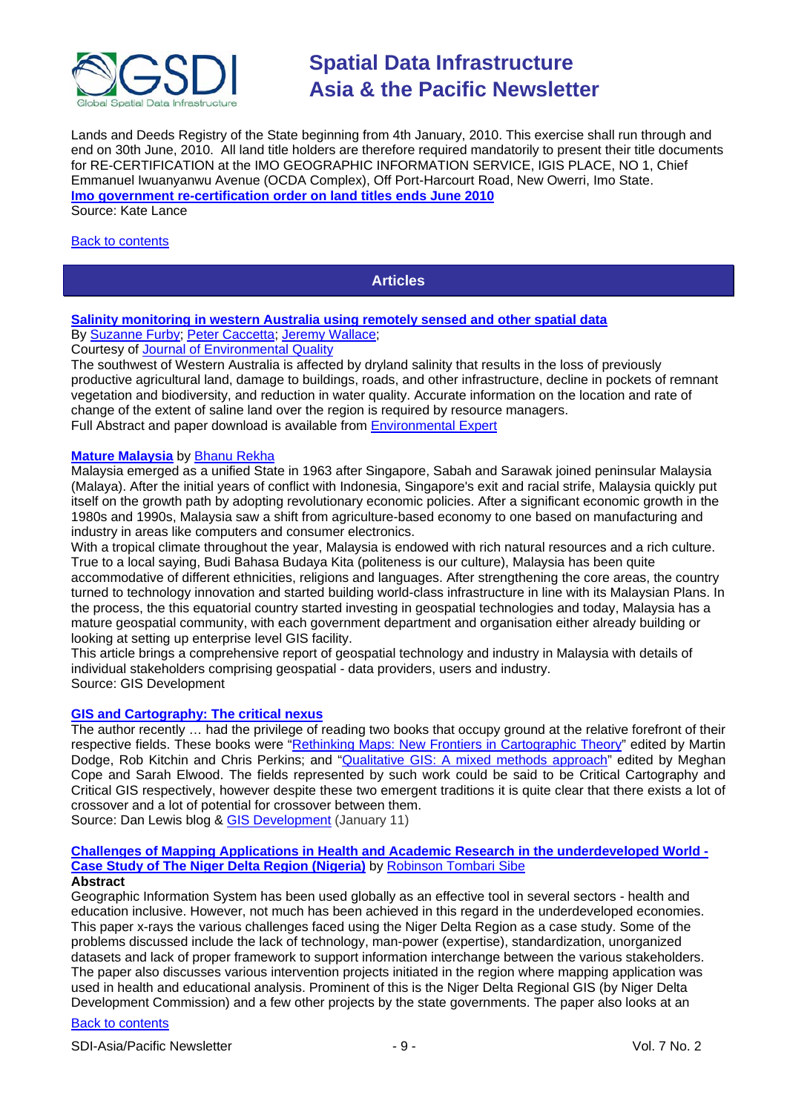

Lands and Deeds Registry of the State beginning from 4th January, 2010. This exercise shall run through and end on 30th June, 2010. All land title holders are therefore required mandatorily to present their title documents for RE-CERTIFICATION at the IMO GEOGRAPHIC INFORMATION SERVICE, IGIS PLACE, NO 1, Chief Emmanuel Iwuanyanwu Avenue (OCDA Complex), Off Port-Harcourt Road, New Owerri, Imo State. **[Imo government re-certification order on land titles ends June 2010](http://abohmbaise.imostate.gov.ng/news/fullStory/?_n_Id=341&PHPSESSID=d64d74948c85a317afb1078a70d6cd71)** Source: Kate Lance

#### <span id="page-8-0"></span>[Back to contents](#page-0-0)

### **Articles**

#### **[Salinity monitoring in western Australia using remotely sensed and other spatial data](http://www.environmental-expert.com/resultEachArticle.aspx?cid=4301&codi=79072&lr=1)** By [Suzanne Furby;](http://www.environmental-expert.com/author_file.aspx?idauthor=282568&fname=Suzanne&lname=Furby) [Peter Caccetta;](http://www.environmental-expert.com/article-index.aspx?word=Peter%20Caccetta) [Jeremy Wallace;](http://www.environmental-expert.com/article-index.aspx?word=Jeremy%20Wallace)

Courtesy of [Journal of Environmental Quality](http://www.environmental-expert.com/resultEachMagazine.aspx?cid=4301&codi=4627)

The southwest of Western Australia is affected by dryland salinity that results in the loss of previously productive agricultural land, damage to buildings, roads, and other infrastructure, decline in pockets of remnant vegetation and biodiversity, and reduction in water quality. Accurate information on the location and rate of change of the extent of saline land over the region is required by resource managers. Full Abstract and paper download is available from [Environmental Expert](http://www.environmental-expert.com/resultEachArticle.aspx?cid=4301&codi=79072&lr=1)

#### **[Mature Malaysia](http://www.gisdevelopment.net/magazine/global/2009/December/36.htm)** by [Bhanu Rekha](mailto:bhanu.rekha@GISdevelopment.net)

Malaysia emerged as a unified State in 1963 after Singapore, Sabah and Sarawak joined peninsular Malaysia (Malaya). After the initial years of conflict with Indonesia, Singapore's exit and racial strife, Malaysia quickly put itself on the growth path by adopting revolutionary economic policies. After a significant economic growth in the 1980s and 1990s, Malaysia saw a shift from agriculture-based economy to one based on manufacturing and industry in areas like computers and consumer electronics.

With a tropical climate throughout the year, Malaysia is endowed with rich natural resources and a rich culture. True to a local saying, Budi Bahasa Budaya Kita (politeness is our culture), Malaysia has been quite accommodative of different ethnicities, religions and languages. After strengthening the core areas, the country turned to technology innovation and started building world-class infrastructure in line with its Malaysian Plans. In the process, the this equatorial country started investing in geospatial technologies and today, Malaysia has a mature geospatial community, with each government department and organisation either already building or looking at setting up enterprise level GIS facility.

This article brings a comprehensive report of geospatial technology and industry in Malaysia with details of individual stakeholders comprising geospatial - data providers, users and industry. Source: GIS Development

#### **[GIS and Cartography: The critical nexus](http://danieljlewis.org/2010/01/08/gis-and-cartography-the-critical-nexus/)**

The author recently … had the privilege of reading two books that occupy ground at the relative forefront of their respective fields. These books were ["Rethinking Maps: New Frontiers in Cartographic Theory"](http://www.routledge.com/books/Rethinking-Maps-isbn9780415461528) edited by Martin Dodge, Rob Kitchin and Chris Perkins; and ["Qualitative GIS: A mixed methods approach"](http://www.uk.sagepub.com/booksProdDesc.nav?prodId=Book231637) edited by Meghan Cope and Sarah Elwood. The fields represented by such work could be said to be Critical Cartography and Critical GIS respectively, however despite these two emergent traditions it is quite clear that there exists a lot of crossover and a lot of potential for crossover between them. Source: Dan Lewis blog & [GIS Development](http://www.gisdevelopment.net/ezine/weekly/jan1110.htm) (January 11)

**[Challenges of Mapping Applications in Health and Academic Research in the underdeveloped World -](http://www.gisdevelopment.net/application/health/overview/Challenges-of-Mapping-Applications-in-Health-and-Academic-Research-in-the-underdeveloped-World.htm)**

#### **[Case Study of The Niger Delta Region \(Nigeria\)](http://www.gisdevelopment.net/application/health/overview/Challenges-of-Mapping-Applications-in-Health-and-Academic-Research-in-the-underdeveloped-World.htm)** by [Robinson Tombari Sibe](mailto:sibe99@yahoo.com)

#### **Abstract**

Geographic Information System has been used globally as an effective tool in several sectors - health and education inclusive. However, not much has been achieved in this regard in the underdeveloped economies. This paper x-rays the various challenges faced using the Niger Delta Region as a case study. Some of the problems discussed include the lack of technology, man-power (expertise), standardization, unorganized datasets and lack of proper framework to support information interchange between the various stakeholders. The paper also discusses various intervention projects initiated in the region where mapping application was used in health and educational analysis. Prominent of this is the Niger Delta Regional GIS (by Niger Delta Development Commission) and a few other projects by the state governments. The paper also looks at an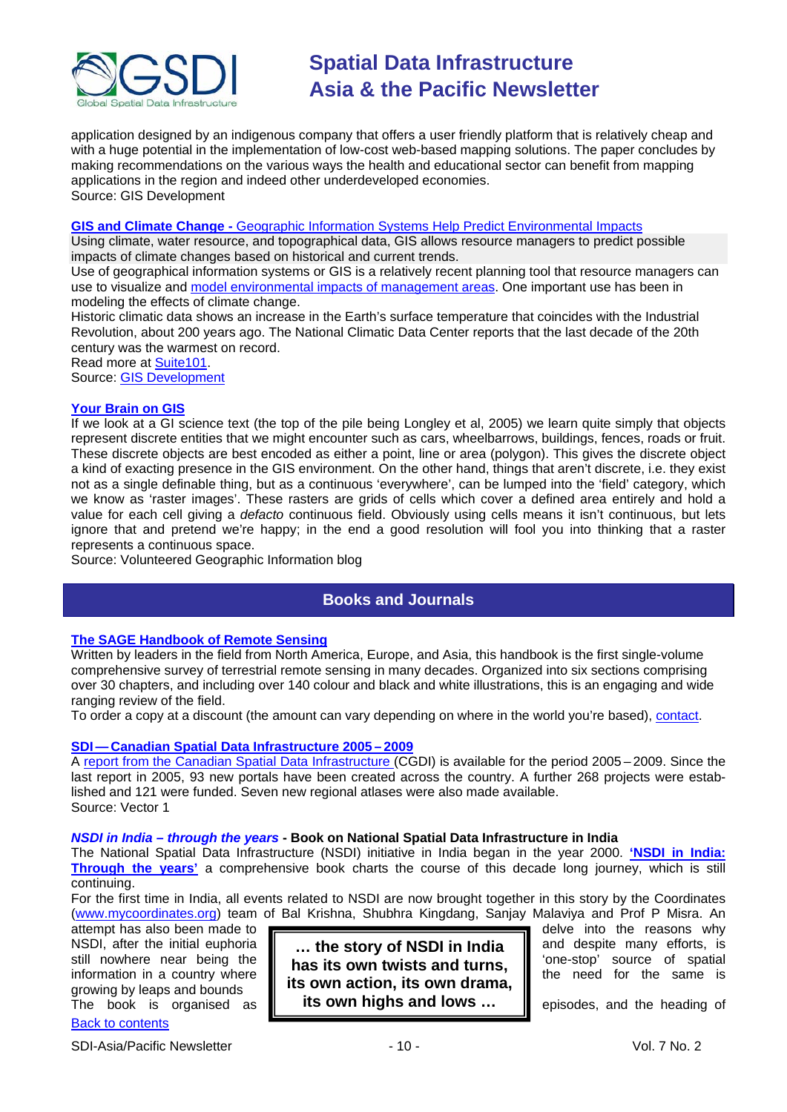

application designed by an indigenous company that offers a user friendly platform that is relatively cheap and with a huge potential in the implementation of low-cost web-based mapping solutions. The paper concludes by making recommendations on the various ways the health and educational sector can benefit from mapping applications in the region and indeed other underdeveloped economies. Source: GIS Development

#### **GIS and Climate Change -** [Geographic Information Systems Help Predict Environmental Impacts](http://ecosystem-preservation.suite101.com/article.cfm/gis_and_climate_change)

Using climate, water resource, and topographical data, GIS allows resource managers to predict possible impacts of climate changes based on historical and current trends.

Use of geographical information systems or GIS is a relatively recent planning tool that resource managers can use to visualize and [model environmental impacts of management areas.](http://environmentalism.suite101.com/article.cfm/use_of_gis_technology_in_resource_planning) One important use has been in modeling the effects of climate change.

Historic climatic data shows an increase in the Earth's surface temperature that coincides with the Industrial Revolution, about 200 years ago. The National Climatic Data Center reports that the last decade of the 20th century was the warmest on record.

Read more at Suite101.

Source: [GIS Development](http://www.gisdevelopment.net/ezine/weekly/dec2809.htm)

#### **[Your Brain on GIS](http://danieljlewis.org/2010/01/21/your-brain-on-gis/)**

If we look at a GI science text (the top of the pile being Longley et al, 2005) we learn quite simply that objects represent discrete entities that we might encounter such as cars, wheelbarrows, buildings, fences, roads or fruit. These discrete objects are best encoded as either a point, line or area (polygon). This gives the discrete object a kind of exacting presence in the GIS environment. On the other hand, things that aren't discrete, i.e. they exist not as a single definable thing, but as a continuous 'everywhere', can be lumped into the 'field' category, which we know as 'raster images'. These rasters are grids of cells which cover a defined area entirely and hold a value for each cell giving a *defacto* continuous field. Obviously using cells means it isn't continuous, but lets ignore that and pretend we're happy; in the end a good resolution will fool you into thinking that a raster represents a continuous space.

<span id="page-9-0"></span>Source: Volunteered Geographic Information blog

## **Books and Journals**

#### **[The SAGE Handbook of Remote Sensing](http://www.uk.sagepub.com/booksProdSampleMaterials.nav?prodId=Book230960)**

Written by leaders in the field from North America, Europe, and Asia, this handbook is the first single-volume comprehensive survey of terrestrial remote sensing in many decades. Organized into six sections comprising over 30 chapters, and including over 140 colour and black and white illustrations, this is an engaging and wide ranging review of the field.

To order a copy at a discount (the amount can vary depending on where in the world you're based), [contact.](mailto:michael.ainsley@sagepub.co.uk)

#### **SDI — [Canadian Spatial Data Infrastructure 2005](http://www.vector1media.com/vectorone/?p=4585) – 2009**

A [report from the Canadian Spatial Data Infrastructure](http://unstats.un.org/unsd/geoinfo/9th-UNRCC-A/CRP/CRP%205%20Canada.pdf) (CGDI) is available for the period 2005 – 2009. Since the last report in 2005, 93 new portals have been created across the country. A further 268 projects were established and 121 were funded. Seven new regional atlases were also made available. Source: Vector 1

*NSDI in India – through the years* **- Book on National Spatial Data Infrastructure in India**

The National Spatial Data Infrastructure (NSDI) initiative in India began in the year 2000. **['NSDI in India:](http://www.mycoordinates.org/nsdi%20in%20india%20book)  [Through the years'](http://www.mycoordinates.org/nsdi%20in%20india%20book)** a comprehensive book charts the course of this decade long journey, which is still continuing.

For the first time in India, all events related to NSDI are now brought together in this story by the Coordinates [\(www.mycoordinates.org\)](http://www.mycoordinates.org/) team of Bal Krishna, Shubhra Kingdang, Sanjay Malaviya and Prof P Misra. An

attempt has also been made to<br>NSDI, after the initial euphoria **delve into the reasons why** delve into the reasons why<br>NSDI, after the initial euphoria growing by leaps and bounds

[Back to contents](#page-0-0)

SDI-Asia/Pacific Newsletter  $\sim$  10 - 10 - Vol. 7 No. 2

NSDI, after the initial euphoria **containal ending in the story of NSDI in India is and despite many efforts, is** still nowhere near being the **indicate is own twists and turns,** increasing source of spatial information in a country where  $\|\cdot\|$ The book is organised as **example its own highs and lows**  $\ldots$  **i** episodes, and the heading of **its own action, its own drama, its own highs and lows …**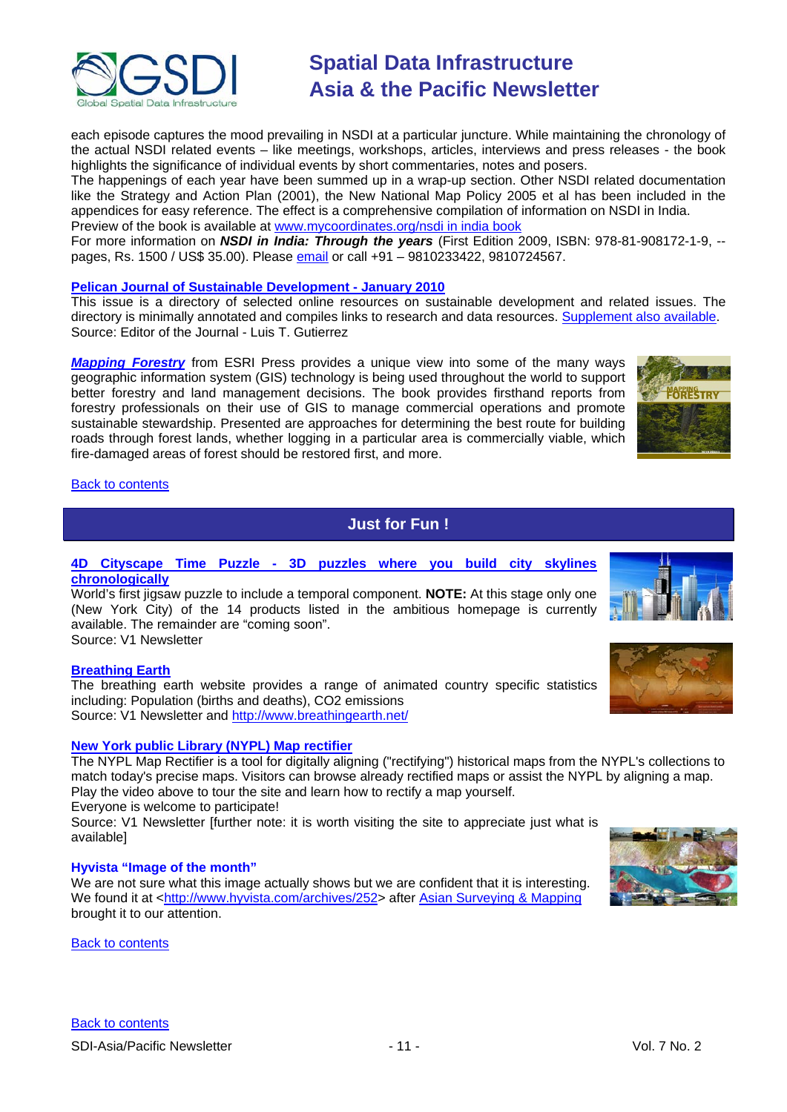

each episode captures the mood prevailing in NSDI at a particular juncture. While maintaining the chronology of the actual NSDI related events – like meetings, workshops, articles, interviews and press releases - the book highlights the significance of individual events by short commentaries, notes and posers.

The happenings of each year have been summed up in a wrap-up section. Other NSDI related documentation like the Strategy and Action Plan (2001), the New National Map Policy 2005 et al has been included in the appendices for easy reference. The effect is a comprehensive compilation of information on NSDI in India. Preview of the book is available at [www.mycoordinates.org/nsdi in india book](http://www.mycoordinates.org/nsdi%20in%20india%20book) 

For more information on *NSDI in India: Through the years* (First Edition 2009, ISBN: 978-81-908172-1-9, - pages, Rs. 1500 / US\$ 35.00). Please [email](mailto:talktous@mycoordinates.org) or call +91 – 9810233422, 9810724567.

#### **[Pelican Journal of Sustainable Development -](http://www.pelicanweb.org/solisustv06n01page1.html) January 2010**

This issue is a directory of selected online resources on sustainable development and related issues. The directory is minimally annotated and compiles links to research and data resources. [Supplement also available.](http://www.pelicanweb.org/solisustv06n01supplement.html) Source: Editor of the Journal - Luis T. Gutierrez

*[Mapping Forestry](http://esripress.esri.com/display/index.cfm?fuseaction=display&websiteID=168)* from ESRI Press provides a unique view into some of the many ways geographic information system (GIS) technology is being used throughout the world to support better forestry and land management decisions. The book provides firsthand reports from forestry professionals on their use of GIS to manage commercial operations and promote sustainable stewardship. Presented are approaches for determining the best route for building roads through forest lands, whether logging in a particular area is commercially viable, which fire-damaged areas of forest should be restored first, and more.



#### <span id="page-10-0"></span>[Back to contents](#page-0-0)

## **Just for Fun !**

#### **4D Cityscape Time Puzzle - [3D puzzles where you build city skylines](http://www.4dcityscape.com/)  [chronologically](http://www.4dcityscape.com/)**

World's first jigsaw puzzle to include a temporal component. **NOTE:** At this stage only one (New York City) of the 14 products listed in the ambitious homepage is currently available. The remainder are "coming soon".

Source: V1 Newsletter

#### **[Breathing Earth](http://www.breathingearth.net/)**

The breathing earth website provides a range of animated country specific statistics including: Population (births and deaths), CO2 emissions Source: V1 Newsletter and<http://www.breathingearth.net/>

#### **[New York public Library \(NYPL\) Map rectifier](http://maps.nypl.org/warper/)**

The NYPL Map Rectifier is a tool for digitally aligning ("rectifying") historical maps from the NYPL's collections to match today's precise maps. Visitors can browse already rectified maps or assist the NYPL by aligning a map. Play the video above to tour the site and learn how to rectify a map yourself.

Everyone is welcome to participate!

Source: V1 Newsletter [further note: it is worth visiting the site to appreciate just what is available]

#### **Hyvista "Image of the month"**

We are not sure what this image actually shows but we are confident that it is interesting. We found it at [<http://www.hyvista.com/archives/252>](http://www.hyvista.com/archives/252) after [Asian Surveying & Mapping](http://asmmag.com/news/hyvista-image-east-kalimantan-indonesia-and-south-africa) brought it to our attention.

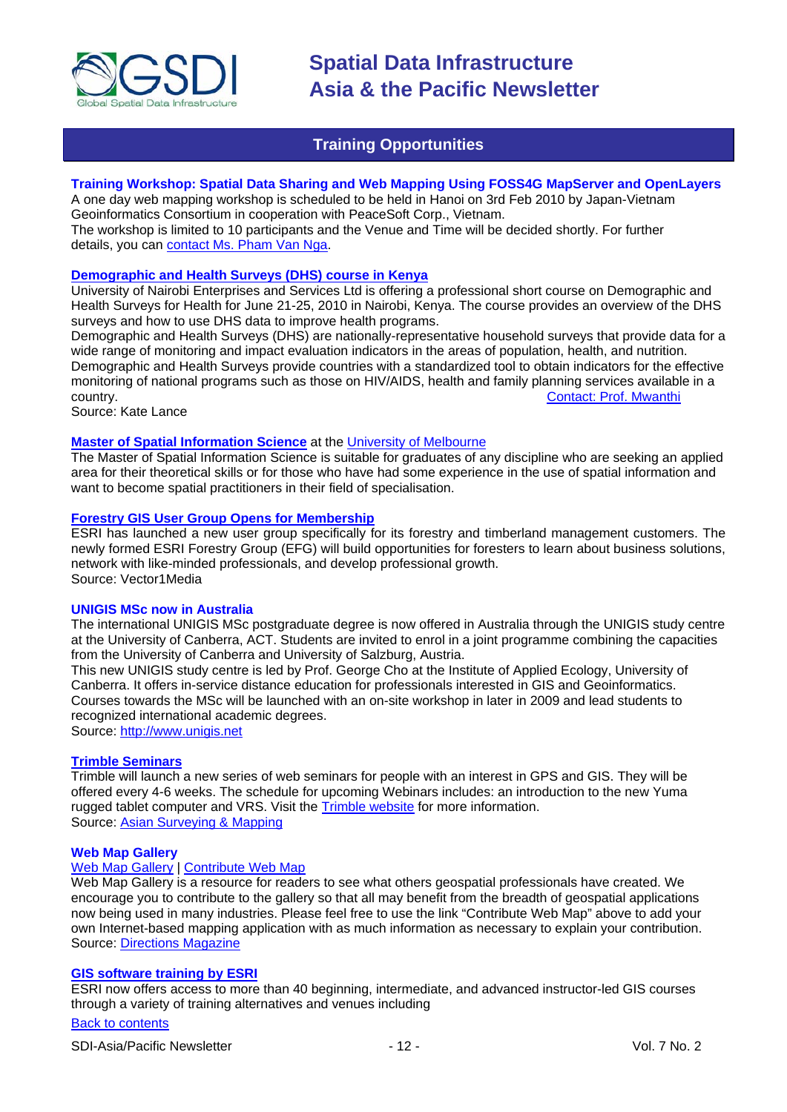

## **Training Opportunities**

#### <span id="page-11-0"></span>**Training Workshop: Spatial Data Sharing and Web Mapping Using FOSS4G MapServer and OpenLayers**

A one day web mapping workshop is scheduled to be held in Hanoi on 3rd Feb 2010 by Japan-Vietnam Geoinformatics Consortium in cooperation with PeaceSoft Corp., Vietnam.

The workshop is limited to 10 participants and the Venue and Time will be decided shortly. For further details, you can [contact Ms. Pham Van Nga.](mailto:ngapv@peacesoft.net)

### **Demographic and [Health Surveys \(DHS\) course in Kenya](http://www.measuredhs.com/wn1/reports/Demographic%20health%20surveys_final%20flyer.pdf)**

University of Nairobi Enterprises and Services Ltd is offering a professional short course on Demographic and Health Surveys for Health for June 21-25, 2010 in Nairobi, Kenya. The course provides an overview of the DHS surveys and how to use DHS data to improve health programs.

Demographic and Health Surveys (DHS) are nationally-representative household surveys that provide data for a wide range of monitoring and impact evaluation indicators in the areas of population, health, and nutrition. Demographic and Health Surveys provide countries with a standardized tool to obtain indicators for the effective monitoring of national programs such as those on HIV/AIDS, health and family planning services available in a<br>Contact: Prof. Mwanthi [Contact: Prof. Mwanthi](mailto:mmwanthi@uonbi.ac.ke)

Source: Kate Lance

#### **[Master of Spatial Information Science](http://www.eng.unimelb.edu.au/Postgrad/MEng/grad_msis.html)** at the [University of Melbourne](http://www.unimelb.edu.au/)

The Master of Spatial Information Science is suitable for graduates of any discipline who are seeking an applied area for their theoretical skills or for those who have had some experience in the use of spatial information and want to become spatial practitioners in their field of specialisation.

#### **[Forestry GIS User Group Opens for Membership](http://www.vector1media.com/news/top-stories/53-corporate-news/8187-forestry-gis-user-group-opens-for-membership)**

ESRI has launched a new user group specifically for its forestry and timberland management customers. The newly formed ESRI Forestry Group (EFG) will build opportunities for foresters to learn about business solutions, network with like-minded professionals, and develop professional growth. Source: Vector1Media

#### **UNIGIS MSc now in Australia**

The international UNIGIS MSc postgraduate degree is now offered in Australia through the UNIGIS study centre at the University of Canberra, ACT. Students are invited to enrol in a joint programme combining the capacities from the University of Canberra and University of Salzburg, Austria.

This new UNIGIS study centre is led by Prof. George Cho at the Institute of Applied Ecology, University of Canberra. It offers in-service distance education for professionals interested in GIS and Geoinformatics. Courses towards the MSc will be launched with an on-site workshop in later in 2009 and lead students to recognized international academic degrees.

Source: [http://www.unigis.net](http://www.unigis.net/)

#### **[Trimble Seminars](http://www.trimble.com/mgis/webinars.shtml)**

Trimble will launch a new series of web seminars for people with an interest in GPS and GIS. They will be offered every 4-6 weeks. The schedule for upcoming Webinars includes: an introduction to the new Yuma rugged tablet computer and VRS. Visit the [Trimble website](http://www.trimble.com/mgis/webinars.shtml) for more information. Source: [Asian Surveying](http://www.asmmag.com/news) & Mapping

#### **Web Map Gallery**

#### [Web Map Gallery](http://www.directionsmag.com/webmapgallery/) | [Contribute Web Map](http://www.directionsmag.com/webmapgallery/?duty=Contribute)

Web Map Gallery is a resource for readers to see what others geospatial professionals have created. We encourage you to contribute to the gallery so that all may benefit from the breadth of geospatial applications now being used in many industries. Please feel free to use the link "Contribute Web Map" above to add your own Internet-based mapping application with as much information as necessary to explain your contribution. Source: [Directions Magazine](http://www.directionsmag.com/webmapgallery/)

#### **[GIS software training by ESRI](http://training.esri.com/gateway/index.cfm?fa=trainingOptions.gateway)**

ESRI now offers access to more than 40 beginning, intermediate, and advanced instructor-led GIS courses through a variety of training alternatives and venues including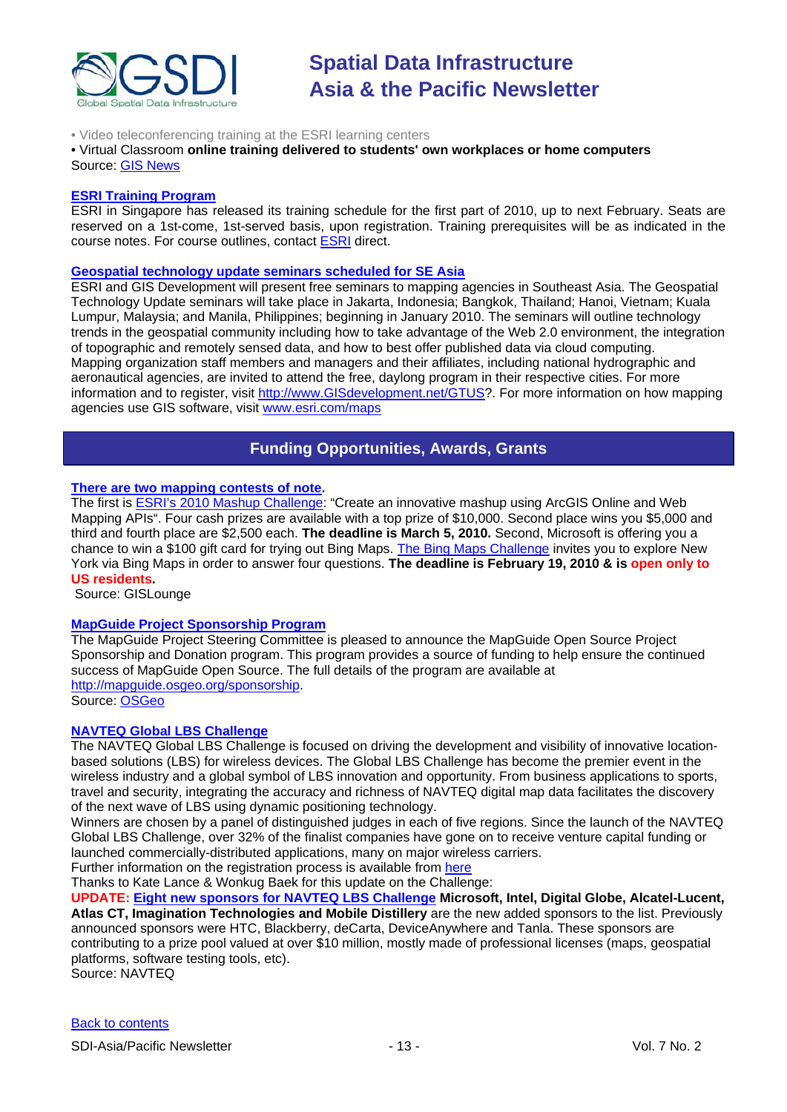

#### • Video teleconferencing training at the ESRI learning centers

#### • Virtual Classroom **online training delivered to students' own workplaces or home computers** Source: GIS News

#### **[ESRI Training Program](http://www.esrisingapore.com.sg/training.html)**

ESRI in Singapore has released its training schedule for the first part of 2010, up to next February. Seats are reserved on a 1st-come, 1st-served basis, upon registration. Training prerequisites will be as indicated in the course notes. For course outlines, contact [ESRI](mailto:training@esrisa.com) direct.

#### **[Geospatial technology update seminars scheduled for SE Asia](http://www.esri.com/news/releases/10_1qtr/geo-tech.html)**

ESRI and GIS Development will present free seminars to mapping agencies in Southeast Asia. The Geospatial Technology Update seminars will take place in Jakarta, Indonesia; Bangkok, Thailand; Hanoi, Vietnam; Kuala Lumpur, Malaysia; and Manila, Philippines; beginning in January 2010. The seminars will outline technology trends in the geospatial community including how to take advantage of the Web 2.0 environment, the integration of topographic and remotely sensed data, and how to best offer published data via cloud computing. Mapping organization staff members and managers and their affiliates, including national hydrographic and aeronautical agencies, are invited to attend the free, daylong program in their respective cities. For more information and to register, visit [http://www.GISdevelopment.net/GTUS?](https://owa.unimelb.edu.au/exchweb/bin/redir.asp?URL=http://www.GISdevelopment.net/GTUS). For more information on how mapping agencies use GIS software, visit [www.esri.com/maps](http://www.esri.com/maps)

## **Funding Opportunities, Awards, Grants**

### <span id="page-12-0"></span>**[There are two mapping contests of note.](http://gislounge.com/mapping-contests/)**

The first is ESRI's 2010 [Mashup Challenge:](http://www.esri.com/software/mapping_for_everyone/api/mashup.html) "Create an innovative mashup using ArcGIS Online and Web Mapping APIs". Four cash prizes are available with a top prize of \$10,000. Second place wins you \$5,000 and third and fourth place are \$2,500 each. **The deadline is March 5, 2010.** Second, Microsoft is offering you a chance to win a \$100 gift card for trying out Bing Maps. [The Bing Maps Challenge](http://discoverbingmaps.com/) invites you to explore New York via Bing Maps in order to answer four questions. **The deadline is February 19, 2010 & is open only to US residents.**

Source: GISLounge

#### **[MapGuide Project Sponsorship Program](http://mapguide.osgeo.org/sponsorship)**

The MapGuide Project Steering Committee is pleased to announce the MapGuide Open Source Project Sponsorship and Donation program. This program provides a source of funding to help ensure the continued success of MapGuide Open Source. The full details of the program are available at [http://mapguide.osgeo.org/sponsorship.](http://mapguide.osgeo.org/sponsorship) Source: [OSGeo](http://www.osgeo.org/node/978)

#### **[NAVTEQ Global LBS](http://developer.navteq.com/site/global/market/lbs_challenge/p_lbs_home.jsp) Challenge**

The NAVTEQ Global LBS Challenge is focused on driving the development and visibility of innovative locationbased solutions (LBS) for wireless devices. The Global LBS Challenge has become the premier event in the wireless industry and a global symbol of LBS innovation and opportunity. From business applications to sports, travel and security, integrating the accuracy and richness of NAVTEQ digital map data facilitates the discovery of the next wave of LBS using dynamic positioning technology.

Winners are chosen by a panel of distinguished judges in each of five regions. Since the launch of the NAVTEQ Global LBS Challenge, over 32% of the finalist companies have gone on to receive venture capital funding or launched commercially-distributed applications, many on major wireless carriers.

Further information on the registration process is available from [here](http://developer.navteq.com/site/global/market/lbs_challenge/p_lbs_home.jsp)

Thanks to Kate Lance & Wonkug Baek for this update on the Challenge:

**UPDATE: [Eight new sponsors for NAVTEQ LBS Challenge](http://corporate.navteq.com/webapps/NewsUserServlet?action=NewsDetail&newsId=824&lang=en&englishonly=false) Microsoft, Intel, Digital Globe, Alcatel-Lucent, Atlas CT, Imagination Technologies and Mobile Distillery** are the new added sponsors to the list. Previously announced sponsors were HTC, Blackberry, deCarta, DeviceAnywhere and Tanla. These sponsors are contributing to a prize pool valued at over \$10 million, mostly made of professional licenses (maps, geospatial platforms, software testing tools, etc).

Source: NAVTEQ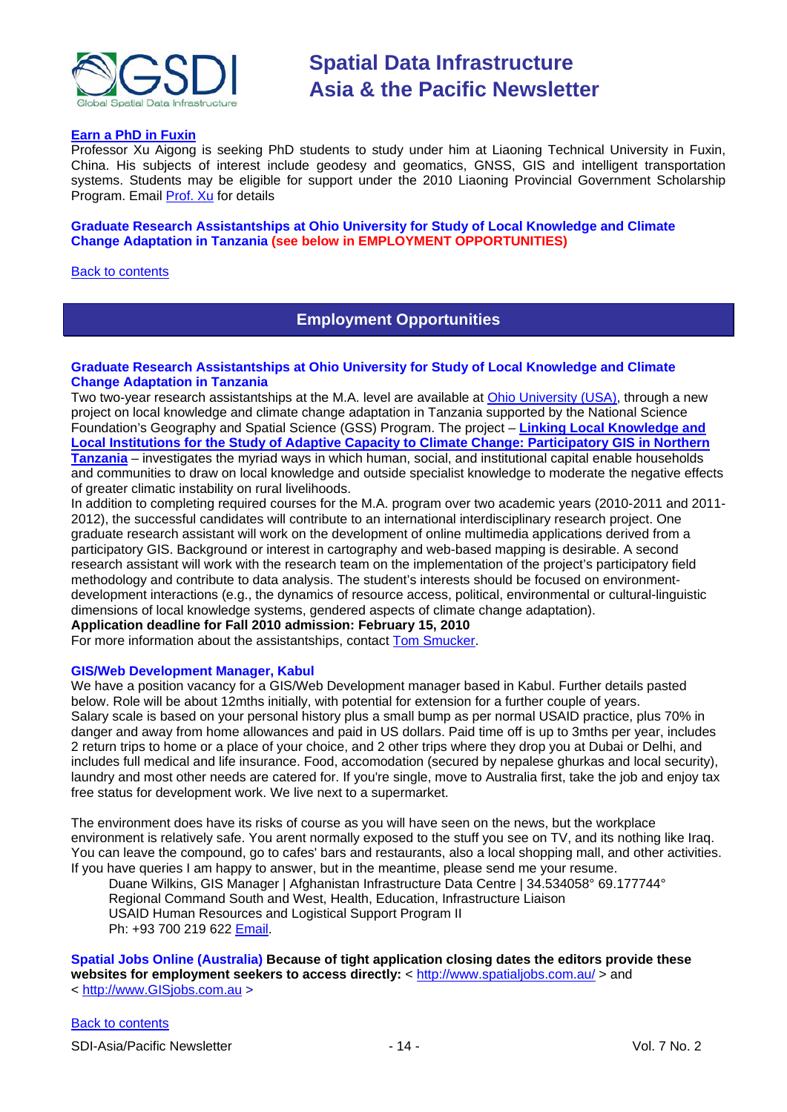

#### **Earn a PhD in Fuxin**

Professor Xu Aigong is seeking PhD students to study under him at Liaoning Technical University in Fuxin, China. His subjects of interest include geodesy and geomatics, GNSS, GIS and intelligent transportation systems. Students may be eligible for support under the 2010 Liaoning Provincial Government Scholarship Program. Email [Prof. Xu](mailto:%22xu_ag@126.com%22) for details

#### **Graduate Research Assistantships at Ohio University for Study of Local Knowledge and Climate Change Adaptation in Tanzania (see below in EMPLOYMENT OPPORTUNITIES)**

<span id="page-13-0"></span>[Back to contents](#page-0-0)

## **Employment Opportunities**

#### **Graduate Research Assistantships at Ohio University for Study of Local Knowledge and Climate Change Adaptation in Tanzania**

Two two-year research assistantships at the M.A. level are available at [Ohio University \(USA\),](http://www.ohio.edu/geography) through a new project on local knowledge and climate change adaptation in Tanzania supported by the National Science Foundation's Geography and Spatial Science (GSS) Program. The project – **[Linking Local Knowledge and](http://nsf.gov/awardsearch/showAward.do?AwardNumber=0921952)  Local Institutions for the Study of Adaptive [Capacity to Climate Change: Participatory GIS in Northern](http://nsf.gov/awardsearch/showAward.do?AwardNumber=0921952)  [Tanzania](http://nsf.gov/awardsearch/showAward.do?AwardNumber=0921952)** – investigates the myriad ways in which human, social, and institutional capital enable households and communities to draw on local knowledge and outside specialist knowledge to moderate the negative effects of greater climatic instability on rural livelihoods.

In addition to completing required courses for the M.A. program over two academic years (2010-2011 and 2011- 2012), the successful candidates will contribute to an international interdisciplinary research project. One graduate research assistant will work on the development of online multimedia applications derived from a participatory GIS. Background or interest in cartography and web-based mapping is desirable. A second research assistant will work with the research team on the implementation of the project's participatory field methodology and contribute to data analysis. The student's interests should be focused on environmentdevelopment interactions (e.g., the dynamics of resource access, political, environmental or cultural-linguistic dimensions of local knowledge systems, gendered aspects of climate change adaptation). **Application deadline for Fall 2010 admission: February 15, 2010**

For more information about the assistantships, contact [Tom Smucker.](mailto:smucker@ohio.edu)

#### **GIS/Web Development Manager, Kabul**

We have a position vacancy for a GIS/Web Development manager based in Kabul. Further details pasted below. Role will be about 12mths initially, with potential for extension for a further couple of years. Salary scale is based on your personal history plus a small bump as per normal USAID practice, plus 70% in danger and away from home allowances and paid in US dollars. Paid time off is up to 3mths per year, includes 2 return trips to home or a place of your choice, and 2 other trips where they drop you at Dubai or Delhi, and includes full medical and life insurance. Food, accomodation (secured by nepalese ghurkas and local security), laundry and most other needs are catered for. If you're single, move to Australia first, take the job and enjoy tax free status for development work. We live next to a supermarket.

The environment does have its risks of course as you will have seen on the news, but the workplace environment is relatively safe. You arent normally exposed to the stuff you see on TV, and its nothing like Iraq. You can leave the compound, go to cafes' bars and restaurants, also a local shopping mall, and other activities. If you have queries I am happy to answer, but in the meantime, please send me your resume.

Duane Wilkins, GIS Manager | Afghanistan Infrastructure Data Centre | 34.534058° 69.177744° Regional Command South and West, Health, Education, Infrastructure Liaison USAID Human Resources and Logistical Support Program II Ph: +93 700 219 622 [Email.](mailto:dwilkins@ird-hrls.org)

**Spatial Jobs Online (Australia) Because of tight application closing dates the editors provide these**  websites for employment seekers to access directly: <<http://www.spatialjobs.com.au/> > and < [http://www.GISjobs.com.au](http://www.gisjobs.com.au/) >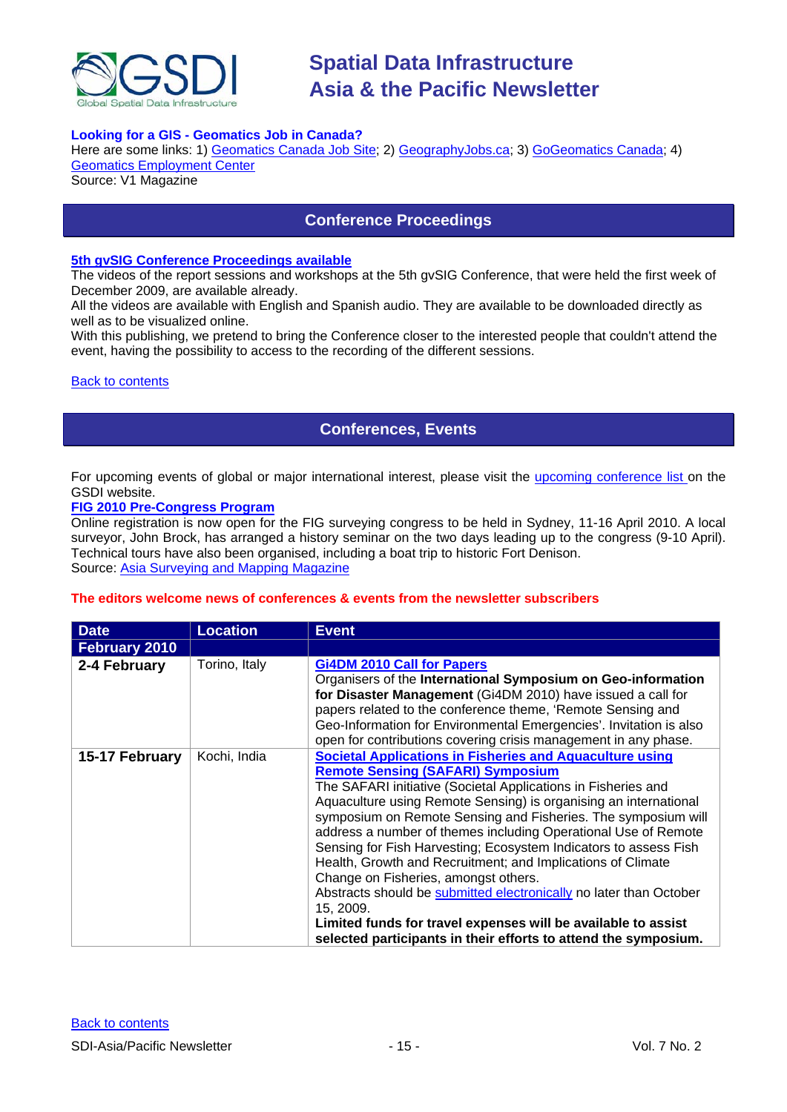

#### **Looking for a GIS - Geomatics Job in Canada?**

Here are some links: 1) [Geomatics Canada Job Site;](http://geomaticscanada.com/jobs.cfm) 2[\) GeographyJobs.ca;](http://www.geographyjobs.ca/) 3) [GoGeomatics Canada;](http://canada.gogeomatics.net/frmHome.aspx) 4) [Geomatics Employment Center](http://gisjobs.ca/)

<span id="page-14-0"></span>Source: V1 Magazine

## **Conference Proceedings**

#### **[5th gvSIG Conference Proceedings available](http://jornadas.gvsig.org/comunicaciones/reports)**

The videos of the report sessions and workshops at the 5th gvSIG Conference, that were held the first week of December 2009, are available already.

All the videos are available with English and Spanish audio. They are available to be downloaded directly as well as to be visualized online.

With this publishing, we pretend to bring the Conference closer to the interested people that couldn't attend the event, having the possibility to access to the recording of the different sessions.

#### <span id="page-14-1"></span>**[Back to contents](#page-0-0)**

## **Conferences, Events**

For upcoming events of global or major international interest, please visit the [upcoming conference list o](http://gsdi.org/events/upcnf.asp)n the GSDI website.

#### **[FIG 2010 Pre-Congress Program](http://www.asmmag.com/news/fig-2010-pre-congress-program)**

Online registration is now open for the FIG surveying congress to be held in Sydney, 11-16 April 2010. A local surveyor, John Brock, has arranged a history seminar on the two days leading up to the congress (9-10 April). Technical tours have also been organised, including a boat trip to historic Fort Denison. Source: [Asia Surveying and Mapping Magazine](http://www.asmmag.com/news/fig-2010-pre-congress-program)

#### **The editors welcome news of conferences & events from the newsletter subscribers**

| <b>Date</b>          | <b>Location</b> | <b>Event</b>                                                                                                                                                                                                                                                                                                                                                                                                                                                                                                                                                                                                                                                                                                                                                                          |
|----------------------|-----------------|---------------------------------------------------------------------------------------------------------------------------------------------------------------------------------------------------------------------------------------------------------------------------------------------------------------------------------------------------------------------------------------------------------------------------------------------------------------------------------------------------------------------------------------------------------------------------------------------------------------------------------------------------------------------------------------------------------------------------------------------------------------------------------------|
| <b>February 2010</b> |                 |                                                                                                                                                                                                                                                                                                                                                                                                                                                                                                                                                                                                                                                                                                                                                                                       |
| 2-4 February         | Torino, Italy   | <b>Gi4DM 2010 Call for Papers</b><br>Organisers of the International Symposium on Geo-information<br>for Disaster Management (Gi4DM 2010) have issued a call for<br>papers related to the conference theme, 'Remote Sensing and<br>Geo-Information for Environmental Emergencies'. Invitation is also<br>open for contributions covering crisis management in any phase.                                                                                                                                                                                                                                                                                                                                                                                                              |
| 15-17 February       | Kochi, India    | <b>Societal Applications in Fisheries and Aquaculture using</b><br><b>Remote Sensing (SAFARI) Symposium</b><br>The SAFARI initiative (Societal Applications in Fisheries and<br>Aquaculture using Remote Sensing) is organising an international<br>symposium on Remote Sensing and Fisheries. The symposium will<br>address a number of themes including Operational Use of Remote<br>Sensing for Fish Harvesting; Ecosystem Indicators to assess Fish<br>Health, Growth and Recruitment; and Implications of Climate<br>Change on Fisheries, amongst others.<br>Abstracts should be submitted electronically no later than October<br>15, 2009.<br>Limited funds for travel expenses will be available to assist<br>selected participants in their efforts to attend the symposium. |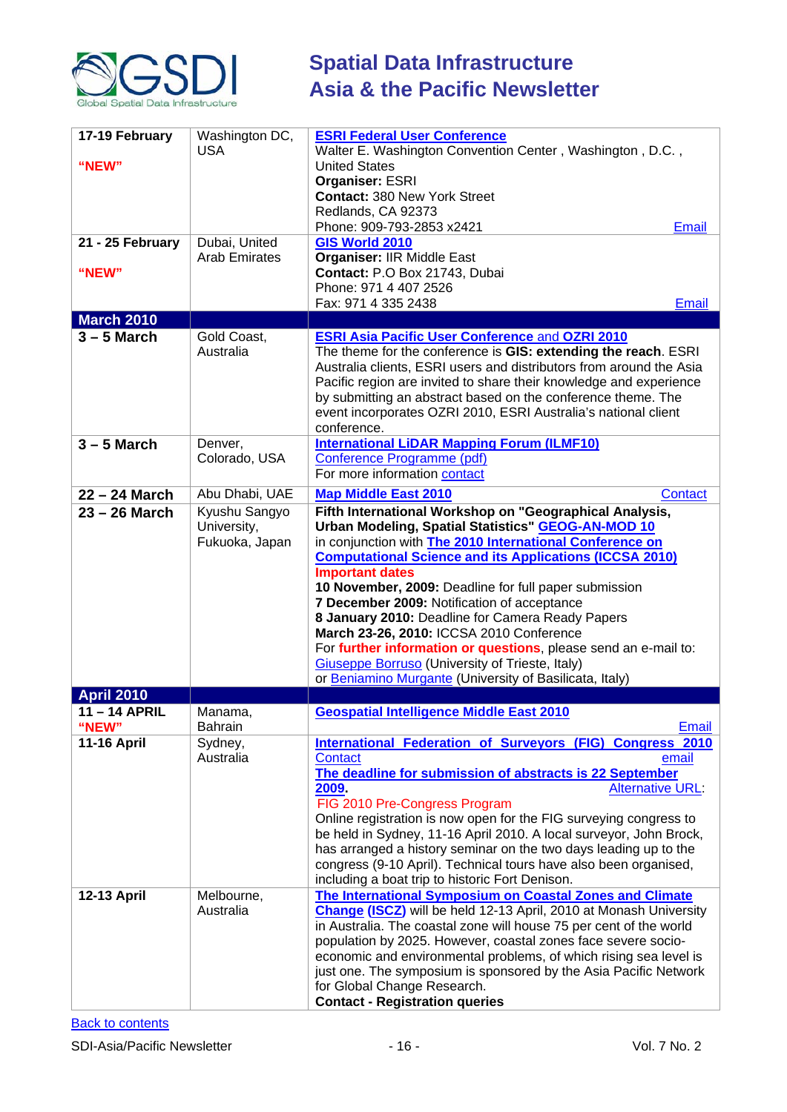

| 17-19 February<br>"NEW"<br>21 - 25 February | Washington DC,<br><b>USA</b><br>Dubai, United  | <b>ESRI Federal User Conference</b><br>Walter E. Washington Convention Center, Washington, D.C.,<br><b>United States</b><br>Organiser: ESRI<br><b>Contact: 380 New York Street</b><br>Redlands, CA 92373<br>Phone: 909-793-2853 x2421<br><b>Email</b><br>GIS World 2010                                                                                                                                                                                                                                                                                                                                                                                                      |
|---------------------------------------------|------------------------------------------------|------------------------------------------------------------------------------------------------------------------------------------------------------------------------------------------------------------------------------------------------------------------------------------------------------------------------------------------------------------------------------------------------------------------------------------------------------------------------------------------------------------------------------------------------------------------------------------------------------------------------------------------------------------------------------|
| "NEW"                                       | <b>Arab Emirates</b>                           | <b>Organiser: IIR Middle East</b><br>Contact: P.O Box 21743, Dubai<br>Phone: 971 4 407 2526<br>Fax: 971 4 335 2438<br>Email                                                                                                                                                                                                                                                                                                                                                                                                                                                                                                                                                  |
| <b>March 2010</b>                           |                                                |                                                                                                                                                                                                                                                                                                                                                                                                                                                                                                                                                                                                                                                                              |
| $3 - 5$ March                               | Gold Coast,<br>Australia                       | <b>ESRI Asia Pacific User Conference and OZRI 2010</b><br>The theme for the conference is GIS: extending the reach. ESRI<br>Australia clients, ESRI users and distributors from around the Asia<br>Pacific region are invited to share their knowledge and experience<br>by submitting an abstract based on the conference theme. The<br>event incorporates OZRI 2010, ESRI Australia's national client<br>conference.                                                                                                                                                                                                                                                       |
| $3 - 5$ March                               | Denver,<br>Colorado, USA                       | <b>International LiDAR Mapping Forum (ILMF10)</b><br>Conference Programme (pdf)<br>For more information contact                                                                                                                                                                                                                                                                                                                                                                                                                                                                                                                                                              |
| 22 - 24 March                               | Abu Dhabi, UAE                                 | <b>Map Middle East 2010</b><br><b>Contact</b>                                                                                                                                                                                                                                                                                                                                                                                                                                                                                                                                                                                                                                |
| $23 - 26$ March                             | Kyushu Sangyo<br>University,<br>Fukuoka, Japan | Fifth International Workshop on "Geographical Analysis,<br><b>Urban Modeling, Spatial Statistics" GEOG-AN-MOD 10</b><br>in conjunction with The 2010 International Conference on<br><b>Computational Science and its Applications (ICCSA 2010)</b><br><b>Important dates</b><br>10 November, 2009: Deadline for full paper submission<br>7 December 2009: Notification of acceptance<br>8 January 2010: Deadline for Camera Ready Papers<br>March 23-26, 2010: ICCSA 2010 Conference<br>For further information or questions, please send an e-mail to:<br><b>Giuseppe Borruso</b> (University of Trieste, Italy)<br>or Beniamino Murgante (University of Basilicata, Italy) |
| <b>April 2010</b>                           |                                                |                                                                                                                                                                                                                                                                                                                                                                                                                                                                                                                                                                                                                                                                              |
| 11 - 14 APRIL<br>"NEW"                      | Manama,<br><b>Bahrain</b>                      | <b>Geospatial Intelligence Middle East 2010</b><br>Email                                                                                                                                                                                                                                                                                                                                                                                                                                                                                                                                                                                                                     |
| <b>11-16 April</b>                          | Sydney,<br>Australia                           | International Federation of Surveyors (FIG) Congress 2010<br><b>Contact</b><br>email<br>The deadline for submission of abstracts is 22 September<br><b>Alternative URL:</b><br>2009.<br>FIG 2010 Pre-Congress Program<br>Online registration is now open for the FIG surveying congress to<br>be held in Sydney, 11-16 April 2010. A local surveyor, John Brock,<br>has arranged a history seminar on the two days leading up to the<br>congress (9-10 April). Technical tours have also been organised,<br>including a boat trip to historic Fort Denison.                                                                                                                  |
| 12-13 April                                 | Melbourne,<br>Australia                        | The International Symposium on Coastal Zones and Climate<br><b>Change (ISCZ)</b> will be held 12-13 April, 2010 at Monash University<br>in Australia. The coastal zone will house 75 per cent of the world<br>population by 2025. However, coastal zones face severe socio-<br>economic and environmental problems, of which rising sea level is<br>just one. The symposium is sponsored by the Asia Pacific Network<br>for Global Change Research.<br><b>Contact - Registration queries</b>                                                                                                                                                                                 |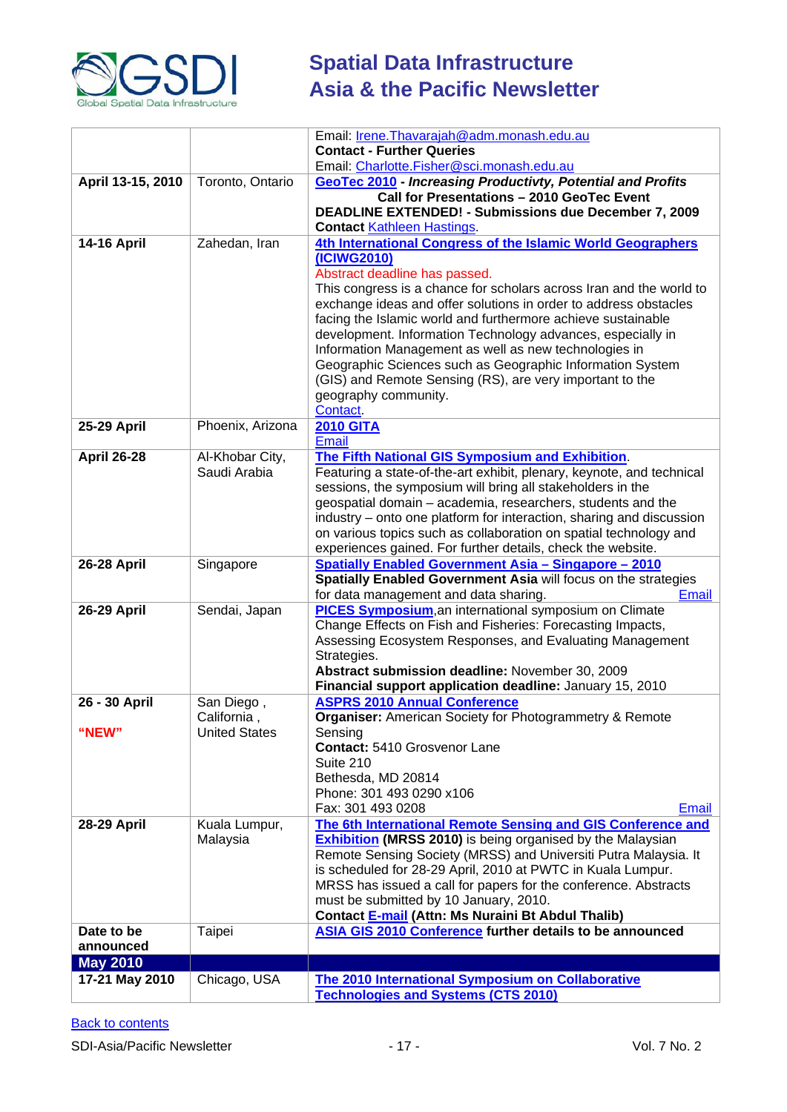

|                    |                      | Email: Irene. Thavarajah@adm. monash.edu.au                           |
|--------------------|----------------------|-----------------------------------------------------------------------|
|                    |                      | <b>Contact - Further Queries</b>                                      |
|                    |                      | Email: Charlotte.Fisher@sci.monash.edu.au                             |
| April 13-15, 2010  | Toronto, Ontario     | <b>GeoTec 2010 - Increasing Productivty, Potential and Profits</b>    |
|                    |                      | Call for Presentations - 2010 GeoTec Event                            |
|                    |                      | <b>DEADLINE EXTENDED! - Submissions due December 7, 2009</b>          |
|                    |                      | <b>Contact Kathleen Hastings</b>                                      |
| <b>14-16 April</b> | Zahedan, Iran        | 4th International Congress of the Islamic World Geographers           |
|                    |                      | (ICIWG2010)                                                           |
|                    |                      | Abstract deadline has passed.                                         |
|                    |                      | This congress is a chance for scholars across Iran and the world to   |
|                    |                      | exchange ideas and offer solutions in order to address obstacles      |
|                    |                      | facing the Islamic world and furthermore achieve sustainable          |
|                    |                      | development. Information Technology advances, especially in           |
|                    |                      | Information Management as well as new technologies in                 |
|                    |                      | Geographic Sciences such as Geographic Information System             |
|                    |                      | (GIS) and Remote Sensing (RS), are very important to the              |
|                    |                      | geography community.                                                  |
|                    |                      | Contact.                                                              |
| 25-29 April        | Phoenix, Arizona     | <b>2010 GITA</b><br>Email                                             |
| <b>April 26-28</b> | Al-Khobar City,      | The Fifth National GIS Symposium and Exhibition.                      |
|                    | Saudi Arabia         | Featuring a state-of-the-art exhibit, plenary, keynote, and technical |
|                    |                      | sessions, the symposium will bring all stakeholders in the            |
|                    |                      | geospatial domain - academia, researchers, students and the           |
|                    |                      | industry – onto one platform for interaction, sharing and discussion  |
|                    |                      | on various topics such as collaboration on spatial technology and     |
|                    |                      | experiences gained. For further details, check the website.           |
| <b>26-28 April</b> | Singapore            | <b>Spatially Enabled Government Asia - Singapore - 2010</b>           |
|                    |                      | Spatially Enabled Government Asia will focus on the strategies        |
|                    |                      | for data management and data sharing.<br>Email                        |
| 26-29 April        | Sendai, Japan        | <b>PICES Symposium, an international symposium on Climate</b>         |
|                    |                      | Change Effects on Fish and Fisheries: Forecasting Impacts,            |
|                    |                      | Assessing Ecosystem Responses, and Evaluating Management              |
|                    |                      | Strategies.                                                           |
|                    |                      | Abstract submission deadline: November 30, 2009                       |
|                    |                      | Financial support application deadline: January 15, 2010              |
| 26 - 30 April      | San Diego,           | <b>ASPRS 2010 Annual Conference</b>                                   |
|                    | California,          | Organiser: American Society for Photogrammetry & Remote               |
| "NEW"              | <b>United States</b> | Sensing<br>Contact: 5410 Grosvenor Lane                               |
|                    |                      | Suite 210                                                             |
|                    |                      | Bethesda, MD 20814                                                    |
|                    |                      | Phone: 301 493 0290 x106                                              |
|                    |                      | Fax: 301 493 0208<br>Email                                            |
| <b>28-29 April</b> | Kuala Lumpur,        | The 6th International Remote Sensing and GIS Conference and           |
|                    | Malaysia             | <b>Exhibition (MRSS 2010)</b> is being organised by the Malaysian     |
|                    |                      | Remote Sensing Society (MRSS) and Universiti Putra Malaysia. It       |
|                    |                      | is scheduled for 28-29 April, 2010 at PWTC in Kuala Lumpur.           |
|                    |                      | MRSS has issued a call for papers for the conference. Abstracts       |
|                    |                      | must be submitted by 10 January, 2010.                                |
|                    |                      | Contact E-mail (Attn: Ms Nuraini Bt Abdul Thalib)                     |
| Date to be         | Taipei               | ASIA GIS 2010 Conference further details to be announced              |
| announced          |                      |                                                                       |
| <b>May 2010</b>    |                      |                                                                       |
| 17-21 May 2010     | Chicago, USA         | The 2010 International Symposium on Collaborative                     |
|                    |                      | <b>Technologies and Systems (CTS 2010)</b>                            |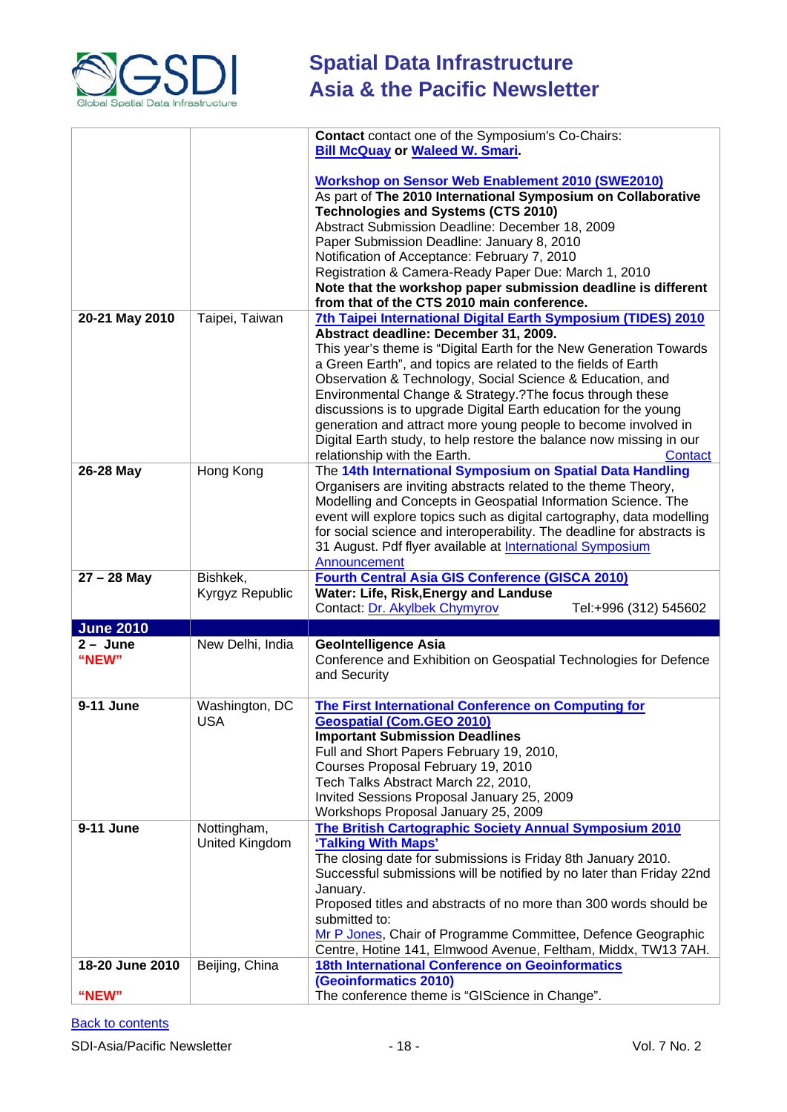

|                                |                  | <b>Contact</b> contact one of the Symposium's Co-Chairs:<br><b>Bill McQuay or Waleed W. Smari.</b>                                |
|--------------------------------|------------------|-----------------------------------------------------------------------------------------------------------------------------------|
|                                |                  |                                                                                                                                   |
|                                |                  | <b>Workshop on Sensor Web Enablement 2010 (SWE2010)</b>                                                                           |
|                                |                  | As part of The 2010 International Symposium on Collaborative                                                                      |
|                                |                  | <b>Technologies and Systems (CTS 2010)</b>                                                                                        |
|                                |                  | Abstract Submission Deadline: December 18, 2009                                                                                   |
|                                |                  | Paper Submission Deadline: January 8, 2010                                                                                        |
|                                |                  | Notification of Acceptance: February 7, 2010                                                                                      |
|                                |                  | Registration & Camera-Ready Paper Due: March 1, 2010<br>Note that the workshop paper submission deadline is different             |
|                                |                  | from that of the CTS 2010 main conference.                                                                                        |
| 20-21 May 2010                 | Taipei, Taiwan   | 7th Taipei International Digital Earth Symposium (TIDES) 2010                                                                     |
|                                |                  | Abstract deadline: December 31, 2009.                                                                                             |
|                                |                  | This year's theme is "Digital Earth for the New Generation Towards                                                                |
|                                |                  | a Green Earth", and topics are related to the fields of Earth                                                                     |
|                                |                  | Observation & Technology, Social Science & Education, and                                                                         |
|                                |                  | Environmental Change & Strategy.?The focus through these                                                                          |
|                                |                  | discussions is to upgrade Digital Earth education for the young<br>generation and attract more young people to become involved in |
|                                |                  | Digital Earth study, to help restore the balance now missing in our                                                               |
|                                |                  | relationship with the Earth.<br>Contact                                                                                           |
| 26-28 May                      | Hong Kong        | The 14th International Symposium on Spatial Data Handling                                                                         |
|                                |                  | Organisers are inviting abstracts related to the theme Theory,                                                                    |
|                                |                  | Modelling and Concepts in Geospatial Information Science. The                                                                     |
|                                |                  | event will explore topics such as digital cartography, data modelling                                                             |
|                                |                  | for social science and interoperability. The deadline for abstracts is                                                            |
|                                |                  | 31 August. Pdf flyer available at International Symposium                                                                         |
|                                |                  | Announcement                                                                                                                      |
|                                |                  |                                                                                                                                   |
| $27 - 28$ May                  | Bishkek,         | <b>Fourth Central Asia GIS Conference (GISCA 2010)</b>                                                                            |
|                                | Kyrgyz Republic  | Water: Life, Risk, Energy and Landuse<br>Contact: Dr. Akylbek Chymyrov<br>Tel:+996 (312) 545602                                   |
|                                |                  |                                                                                                                                   |
| <b>June 2010</b><br>$2 - June$ | New Delhi, India | <b>GeoIntelligence Asia</b>                                                                                                       |
| "NEW"                          |                  | Conference and Exhibition on Geospatial Technologies for Defence                                                                  |
|                                |                  | and Security                                                                                                                      |
|                                |                  |                                                                                                                                   |
| 9-11 June                      | Washington, DC   | The First International Conference on Computing for                                                                               |
|                                | <b>USA</b>       | <b>Geospatial (Com.GEO 2010)</b>                                                                                                  |
|                                |                  | <b>Important Submission Deadlines</b>                                                                                             |
|                                |                  | Full and Short Papers February 19, 2010,<br>Courses Proposal February 19, 2010                                                    |
|                                |                  | Tech Talks Abstract March 22, 2010,                                                                                               |
|                                |                  | Invited Sessions Proposal January 25, 2009                                                                                        |
|                                |                  | Workshops Proposal January 25, 2009                                                                                               |
| 9-11 June                      | Nottingham,      | The British Cartographic Society Annual Symposium 2010                                                                            |
|                                | United Kingdom   | 'Talking With Maps'                                                                                                               |
|                                |                  | The closing date for submissions is Friday 8th January 2010.                                                                      |
|                                |                  | Successful submissions will be notified by no later than Friday 22nd                                                              |
|                                |                  | January.                                                                                                                          |
|                                |                  | Proposed titles and abstracts of no more than 300 words should be<br>submitted to:                                                |
|                                |                  | Mr P Jones, Chair of Programme Committee, Defence Geographic                                                                      |
|                                |                  | Centre, Hotine 141, Elmwood Avenue, Feltham, Middx, TW13 7AH.                                                                     |
| 18-20 June 2010                | Beijing, China   | <b>18th International Conference on Geoinformatics</b>                                                                            |
| "NEW"                          |                  | (Geoinformatics 2010)<br>The conference theme is "GIScience in Change".                                                           |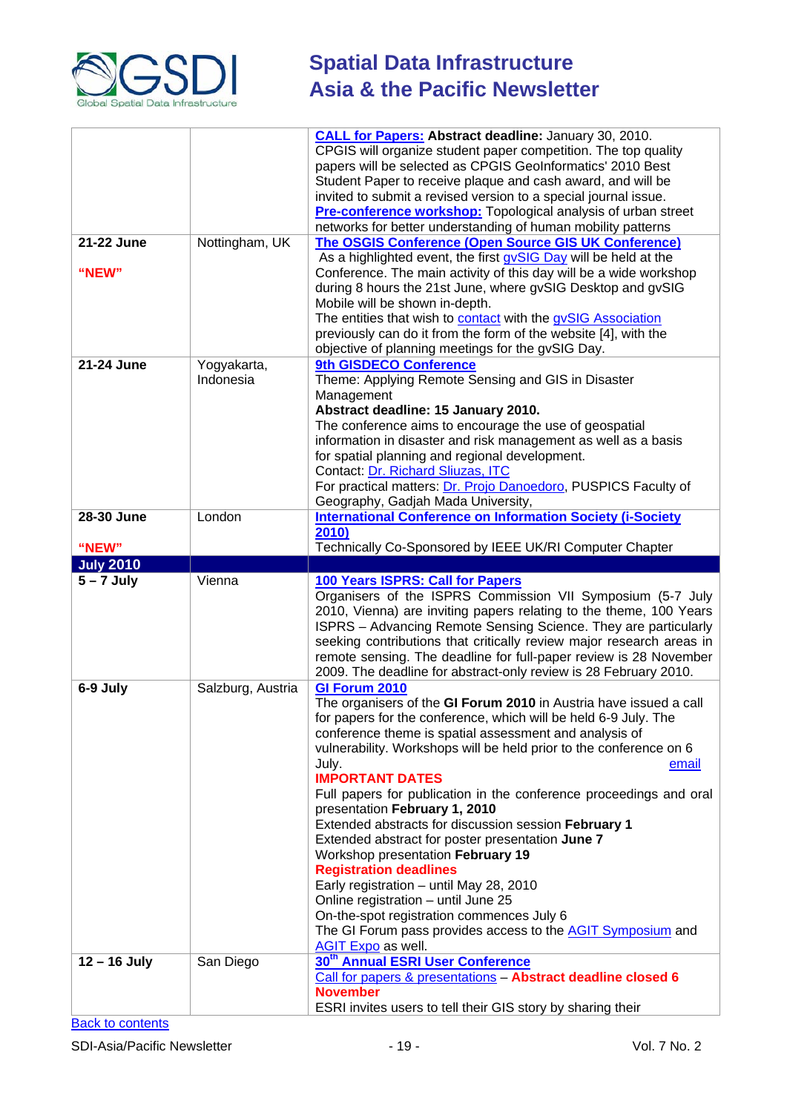

# **Spatial Data Infrastructure**<br>Asia & the Perific Mi **Asia & the Pacific Newsletter**

|                            |                                | <b>CALL for Papers: Abstract deadline: January 30, 2010.</b><br>CPGIS will organize student paper competition. The top quality<br>papers will be selected as CPGIS GeoInformatics' 2010 Best                                                                                                                                                                                                                                                                                                                                                                                                                                                                                                                                                                                                                                                                                                                                                                                     |
|----------------------------|--------------------------------|----------------------------------------------------------------------------------------------------------------------------------------------------------------------------------------------------------------------------------------------------------------------------------------------------------------------------------------------------------------------------------------------------------------------------------------------------------------------------------------------------------------------------------------------------------------------------------------------------------------------------------------------------------------------------------------------------------------------------------------------------------------------------------------------------------------------------------------------------------------------------------------------------------------------------------------------------------------------------------|
|                            |                                | Student Paper to receive plaque and cash award, and will be<br>invited to submit a revised version to a special journal issue.                                                                                                                                                                                                                                                                                                                                                                                                                                                                                                                                                                                                                                                                                                                                                                                                                                                   |
|                            |                                | Pre-conference workshop: Topological analysis of urban street<br>networks for better understanding of human mobility patterns                                                                                                                                                                                                                                                                                                                                                                                                                                                                                                                                                                                                                                                                                                                                                                                                                                                    |
| 21-22 June                 | Nottingham, UK                 | <b>The OSGIS Conference (Open Source GIS UK Conference)</b><br>As a highlighted event, the first gvSIG Day will be held at the                                                                                                                                                                                                                                                                                                                                                                                                                                                                                                                                                                                                                                                                                                                                                                                                                                                   |
| "NEW"                      |                                | Conference. The main activity of this day will be a wide workshop<br>during 8 hours the 21st June, where gvSIG Desktop and gvSIG<br>Mobile will be shown in-depth.<br>The entities that wish to contact with the gvSIG Association                                                                                                                                                                                                                                                                                                                                                                                                                                                                                                                                                                                                                                                                                                                                               |
|                            |                                | previously can do it from the form of the website [4], with the<br>objective of planning meetings for the gvSIG Day.                                                                                                                                                                                                                                                                                                                                                                                                                                                                                                                                                                                                                                                                                                                                                                                                                                                             |
| 21-24 June                 | Yogyakarta,<br>Indonesia       | 9th GISDECO Conference<br>Theme: Applying Remote Sensing and GIS in Disaster<br>Management<br>Abstract deadline: 15 January 2010.<br>The conference aims to encourage the use of geospatial<br>information in disaster and risk management as well as a basis<br>for spatial planning and regional development.<br>Contact: Dr. Richard Sliuzas, ITC<br>For practical matters: Dr. Projo Danoedoro, PUSPICS Faculty of                                                                                                                                                                                                                                                                                                                                                                                                                                                                                                                                                           |
| 28-30 June                 | London                         | Geography, Gadjah Mada University,<br><b>International Conference on Information Society (i-Society</b>                                                                                                                                                                                                                                                                                                                                                                                                                                                                                                                                                                                                                                                                                                                                                                                                                                                                          |
| "NEW"                      |                                | 2010)<br>Technically Co-Sponsored by IEEE UK/RI Computer Chapter                                                                                                                                                                                                                                                                                                                                                                                                                                                                                                                                                                                                                                                                                                                                                                                                                                                                                                                 |
|                            |                                |                                                                                                                                                                                                                                                                                                                                                                                                                                                                                                                                                                                                                                                                                                                                                                                                                                                                                                                                                                                  |
| <b>July 2010</b>           |                                |                                                                                                                                                                                                                                                                                                                                                                                                                                                                                                                                                                                                                                                                                                                                                                                                                                                                                                                                                                                  |
| $5 - 7$ July               | Vienna                         | 100 Years ISPRS: Call for Papers<br>Organisers of the ISPRS Commission VII Symposium (5-7 July<br>2010, Vienna) are inviting papers relating to the theme, 100 Years<br>ISPRS - Advancing Remote Sensing Science. They are particularly<br>seeking contributions that critically review major research areas in<br>remote sensing. The deadline for full-paper review is 28 November                                                                                                                                                                                                                                                                                                                                                                                                                                                                                                                                                                                             |
| 6-9 July<br>$12 - 16$ July | Salzburg, Austria<br>San Diego | 2009. The deadline for abstract-only review is 28 February 2010.<br>GI Forum 2010<br>The organisers of the GI Forum 2010 in Austria have issued a call<br>for papers for the conference, which will be held 6-9 July. The<br>conference theme is spatial assessment and analysis of<br>vulnerability. Workshops will be held prior to the conference on 6<br>July.<br>email<br><b>IMPORTANT DATES</b><br>Full papers for publication in the conference proceedings and oral<br>presentation February 1, 2010<br>Extended abstracts for discussion session February 1<br>Extended abstract for poster presentation June 7<br>Workshop presentation February 19<br><b>Registration deadlines</b><br>Early registration - until May 28, 2010<br>Online registration - until June 25<br>On-the-spot registration commences July 6<br>The GI Forum pass provides access to the <b>AGIT Symposium</b> and<br><b>AGIT Expo</b> as well.<br>30 <sup>th</sup> Annual ESRI User Conference |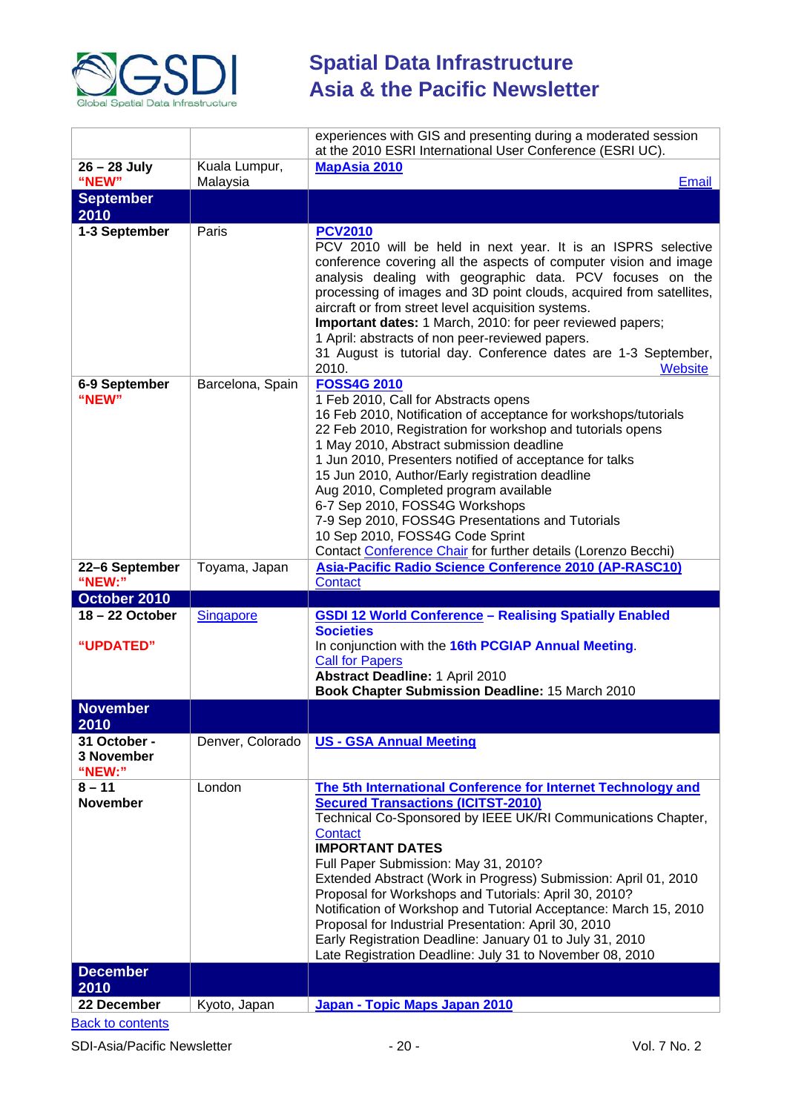

|                                      |                           | experiences with GIS and presenting during a moderated session<br>at the 2010 ESRI International User Conference (ESRI UC).                                                                                                                                                                                                                                                                                                                                                                                                                                                              |
|--------------------------------------|---------------------------|------------------------------------------------------------------------------------------------------------------------------------------------------------------------------------------------------------------------------------------------------------------------------------------------------------------------------------------------------------------------------------------------------------------------------------------------------------------------------------------------------------------------------------------------------------------------------------------|
| 26 - 28 July<br>"NEW"                | Kuala Lumpur,<br>Malaysia | <b>MapAsia 2010</b><br>Email                                                                                                                                                                                                                                                                                                                                                                                                                                                                                                                                                             |
| <b>September</b><br>2010             |                           |                                                                                                                                                                                                                                                                                                                                                                                                                                                                                                                                                                                          |
| 1-3 September                        | Paris                     | <b>PCV2010</b><br>PCV 2010 will be held in next year. It is an ISPRS selective<br>conference covering all the aspects of computer vision and image<br>analysis dealing with geographic data. PCV focuses on the<br>processing of images and 3D point clouds, acquired from satellites,<br>aircraft or from street level acquisition systems.<br>Important dates: 1 March, 2010: for peer reviewed papers;<br>1 April: abstracts of non peer-reviewed papers.<br>31 August is tutorial day. Conference dates are 1-3 September,<br>2010.<br><b>Website</b>                                |
| 6-9 September<br>"NEW"               | Barcelona, Spain          | <b>FOSS4G 2010</b><br>1 Feb 2010, Call for Abstracts opens<br>16 Feb 2010, Notification of acceptance for workshops/tutorials<br>22 Feb 2010, Registration for workshop and tutorials opens<br>1 May 2010, Abstract submission deadline<br>1 Jun 2010, Presenters notified of acceptance for talks<br>15 Jun 2010, Author/Early registration deadline<br>Aug 2010, Completed program available<br>6-7 Sep 2010, FOSS4G Workshops<br>7-9 Sep 2010, FOSS4G Presentations and Tutorials<br>10 Sep 2010, FOSS4G Code Sprint<br>Contact Conference Chair for further details (Lorenzo Becchi) |
| 22-6 September<br>"NEW:"             | Toyama, Japan             | Asia-Pacific Radio Science Conference 2010 (AP-RASC10)<br>Contact                                                                                                                                                                                                                                                                                                                                                                                                                                                                                                                        |
| October 2010                         |                           |                                                                                                                                                                                                                                                                                                                                                                                                                                                                                                                                                                                          |
| 18-22 October<br>"UPDATED"           | <b>Singapore</b>          | <b>GSDI 12 World Conference - Realising Spatially Enabled</b><br><b>Societies</b><br>In conjunction with the 16th PCGIAP Annual Meeting.<br><b>Call for Papers</b>                                                                                                                                                                                                                                                                                                                                                                                                                       |
|                                      |                           | <b>Abstract Deadline: 1 April 2010</b><br>Book Chapter Submission Deadline: 15 March 2010                                                                                                                                                                                                                                                                                                                                                                                                                                                                                                |
| <b>November</b><br>2010              |                           |                                                                                                                                                                                                                                                                                                                                                                                                                                                                                                                                                                                          |
| 31 October -<br>3 November<br>"NEW:" | Denver, Colorado          | <b>US - GSA Annual Meeting</b>                                                                                                                                                                                                                                                                                                                                                                                                                                                                                                                                                           |
| $8 - 11$<br><b>November</b>          | London                    | The 5th International Conference for Internet Technology and<br><b>Secured Transactions (ICITST-2010)</b><br>Technical Co-Sponsored by IEEE UK/RI Communications Chapter,<br>Contact<br><b>IMPORTANT DATES</b><br>Full Paper Submission: May 31, 2010?<br>Extended Abstract (Work in Progress) Submission: April 01, 2010<br>Proposal for Workshops and Tutorials: April 30, 2010?<br>Notification of Workshop and Tutorial Acceptance: March 15, 2010<br>Proposal for Industrial Presentation: April 30, 2010<br>Early Registration Deadline: January 01 to July 31, 2010               |
|                                      |                           | Late Registration Deadline: July 31 to November 08, 2010                                                                                                                                                                                                                                                                                                                                                                                                                                                                                                                                 |
| <b>December</b>                      |                           |                                                                                                                                                                                                                                                                                                                                                                                                                                                                                                                                                                                          |
| 2010<br>22 December                  | Kyoto, Japan              | Japan - Topic Maps Japan 2010                                                                                                                                                                                                                                                                                                                                                                                                                                                                                                                                                            |